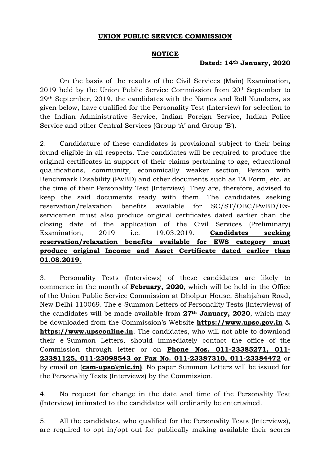## UNION PUBLIC SERVICE COMMISSION

## **NOTICE**

## Dated: 14th January, 2020

On the basis of the results of the Civil Services (Main) Examination, 2019 held by the Union Public Service Commission from 20th September to 29th September, 2019, the candidates with the Names and Roll Numbers, as given below, have qualified for the Personality Test (Interview) for selection to the Indian Administrative Service, Indian Foreign Service, Indian Police Service and other Central Services (Group 'A' and Group 'B').

2. Candidature of these candidates is provisional subject to their being found eligible in all respects. The candidates will be required to produce the original certificates in support of their claims pertaining to age, educational qualifications, community, economically weaker section, Person with Benchmark Disability (PwBD) and other documents such as TA Form, etc. at the time of their Personality Test (Interview). They are, therefore, advised to keep the said documents ready with them. The candidates seeking reservation/relaxation benefits available for SC/ST/OBC/PwBD/Exservicemen must also produce original certificates dated earlier than the closing date of the application of the Civil Services (Preliminary) Examination, 2019 i.e. 19.03.2019. **Candidates seeking** reservation/relaxation benefits available for EWS category must produce original Income and Asset Certificate dated earlier than 01.08.2019.

3. Personality Tests (Interviews) of these candidates are likely to commence in the month of February, 2020, which will be held in the Office of the Union Public Service Commission at Dholpur House, Shahjahan Road, New Delhi-110069. The e-Summon Letters of Personality Tests (Interviews) of the candidates will be made available from 27th January, 2020, which may be downloaded from the Commission's Website https://www.upsc.gov.in & https://www.upsconline.in. The candidates, who will not able to download their e-Summon Letters, should immediately contact the office of the Commission through letter or on Phone Nos. 011-23385271, 011- 23381125, 011-23098543 or Fax No. 011-23387310, 011-23384472 or by email on (csm-upsc@nic.in). No paper Summon Letters will be issued for the Personality Tests (Interviews) by the Commission.

4. No request for change in the date and time of the Personality Test (Interview) intimated to the candidates will ordinarily be entertained.

5. All the candidates, who qualified for the Personality Tests (Interviews), are required to opt in/opt out for publically making available their scores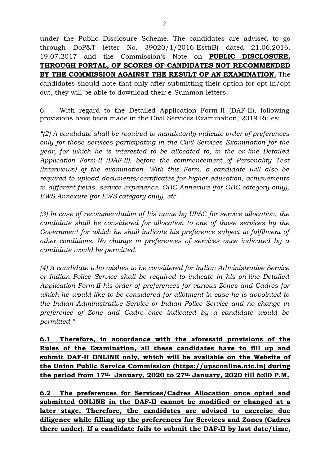under the Public Disclosure Scheme. The candidates are advised to go through DoP&T letter No. 39020/1/2016-Estt(B) dated 21.06.2016, 19.07.2017 and the Commission's Note on PUBLIC DISCLOSURE, THROUGH PORTAL, OF SCORES OF CANDIDATES NOT RECOMMENDED BY THE COMMISSION AGAINST THE RESULT OF AN EXAMINATION. The candidates should note that only after submitting their option for opt in/opt out, they will be able to download their e-Summon letters.

6. With regard to the Detailed Application Form-II (DAF-II), following provisions have been made in the Civil Services Examination, 2019 Rules:

"(2) A candidate shall be required to mandatorily indicate order of preferences only for those services participating in the Civil Services Examination for the year, for which he is interested to be allocated to, in the on-line Detailed Application Form-II (DAF-II), before the commencement of Personality Test (Interviews) of the examination. With this Form, a candidate will also be required to upload documents/certificates for higher education, achievements in different fields, service experience, OBC Annexure (for OBC category only), EWS Annexure (for EWS category only), etc.

(3) In case of recommendation of his name by UPSC for service allocation, the candidate shall be considered for allocation to one of those services by the Government for which he shall indicate his preference subject to fulfilment of other conditions. No change in preferences of services once indicated by a candidate would be permitted.

(4) A candidate who wishes to be considered for Indian Administrative Service or Indian Police Service shall be required to indicate in his on-line Detailed Application Form-II his order of preferences for various Zones and Cadres for which he would like to be considered for allotment in case he is appointed to the Indian Administrative Service or Indian Police Service and no change in preference of Zone and Cadre once indicated by a candidate would be permitted."

6.1 Therefore, in accordance with the aforesaid provisions of the Rules of the Examination, all these candidates have to fill up and submit DAF-II ONLINE only, which will be available on the Website of the Union Public Service Commission (https://upsconline.nic.in) during the period from 17<sup>th</sup> January, 2020 to 27<sup>th</sup> January, 2020 till 6:00 P.M.

6.2 The preferences for Services/Cadres Allocation once opted and submitted ONLINE in the DAF-II cannot be modified or changed at a later stage. Therefore, the candidates are advised to exercise due diligence while filling up the preferences for Services and Zones (Cadres there under). If a candidate fails to submit the DAF-II by last date/time,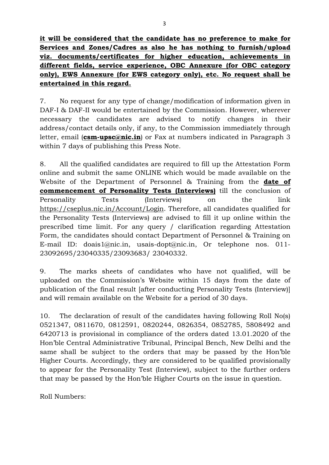it will be considered that the candidate has no preference to make for Services and Zones/Cadres as also he has nothing to furnish/upload viz. documents/certificates for higher education, achievements in different fields, service experience, OBC Annexure (for OBC category only), EWS Annexure (for EWS category only), etc. No request shall be entertained in this regard.

7. No request for any type of change/modification of information given in DAF-I & DAF-II would be entertained by the Commission. However, wherever necessary the candidates are advised to notify changes in their address/contact details only, if any, to the Commission immediately through letter, email ( $csm-upsc@nic.in$ ) or Fax at numbers indicated in Paragraph 3 within 7 days of publishing this Press Note.

8. All the qualified candidates are required to fill up the Attestation Form online and submit the same ONLINE which would be made available on the Website of the Department of Personnel & Training from the **date of** commencement of Personality Tests (Interviews) till the conclusion of Personality Tests (Interviews) on the link https://cseplus.nic.in/Account/Login. Therefore, all candidates qualified for the Personality Tests (Interviews) are advised to fill it up online within the prescribed time limit. For any query / clarification regarding Attestation Form, the candidates should contact Department of Personnel & Training on E-mail ID: doais1@nic.in, usais-dopt@nic.in, Or telephone nos. 011- 23092695/23040335/23093683/ 23040332.

9. The marks sheets of candidates who have not qualified, will be uploaded on the Commission's Website within 15 days from the date of publication of the final result [after conducting Personality Tests (Interview)] and will remain available on the Website for a period of 30 days.

10. The declaration of result of the candidates having following Roll No(s) 0521347, 0811670, 0812591, 0820244, 0826354, 0852785, 5808492 and 6420713 is provisional in compliance of the orders dated 13.01.2020 of the Hon'ble Central Administrative Tribunal, Principal Bench, New Delhi and the same shall be subject to the orders that may be passed by the Hon'ble Higher Courts. Accordingly, they are considered to be qualified provisionally to appear for the Personality Test (Interview), subject to the further orders that may be passed by the Hon'ble Higher Courts on the issue in question.

Roll Numbers: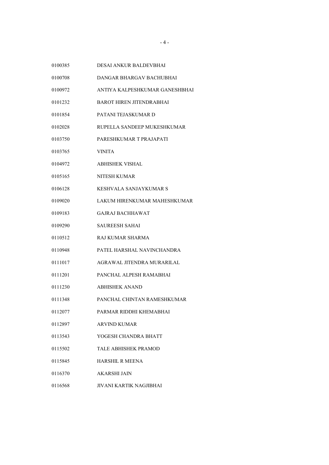| 0100385 | DESAI ANKUR BALDEVBHAI          |
|---------|---------------------------------|
| 0100708 | DANGAR BHARGAV BACHUBHAI        |
| 0100972 | ANTIYA KALPESHKUMAR GANESHBHAI  |
| 0101232 | <b>BAROT HIREN JITENDRABHAI</b> |
| 0101854 | PATANI TEJASKUMAR D             |
| 0102028 | RUPELLA SANDEEP MUKESHKUMAR     |
| 0103750 | PARESHKUMAR T PRAJAPATI         |
| 0103765 | <b>VINITA</b>                   |
| 0104972 | <b>ABHISHEK VISHAL</b>          |
| 0105165 | NITESH KUMAR                    |
| 0106128 | KESHVALA SANJAYKUMAR S          |
| 0109020 | LAKUM HIRENKUMAR MAHESHKUMAR    |
| 0109183 | <b>GAJRAJ BACHHAWAT</b>         |
| 0109290 | <b>SAUREESH SAHAI</b>           |
| 0110512 | RAJ KUMAR SHARMA                |
| 0110948 | PATEL HARSHAL NAVINCHANDRA      |
| 0111017 | AGRAWAL JITENDRA MURARILAL      |
| 0111201 | PANCHAL ALPESH RAMABHAI         |
| 0111230 | <b>ABHISHEK ANAND</b>           |
| 0111348 | PANCHAL CHINTAN RAMESHKUMAR     |
| 0112077 | PARMAR RIDDHI KHEMABHAI         |
| 0112897 | <b>ARVIND KUMAR</b>             |
| 0113543 | YOGESH CHANDRA BHATT            |
| 0115502 | TALE ABHISHEK PRAMOD            |
| 0115845 | <b>HARSHIL R MEENA</b>          |
| 0116370 | AKARSHI JAIN                    |
| 0116568 | JIVANI KARTIK NAGJIBHAI         |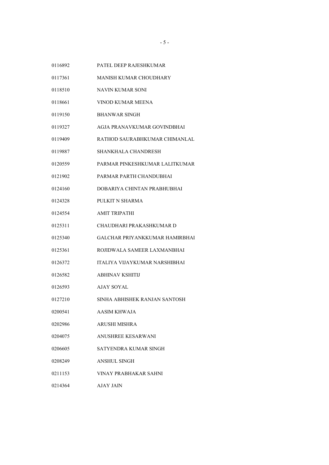PATEL DEEP RAJESHKUMAR

- MANISH KUMAR CHOUDHARY
- NAVIN KUMAR SONI
- VINOD KUMAR MEENA
- BHANWAR SINGH
- AGJA PRANAVKUMAR GOVINDBHAI
- RATHOD SAURABHKUMAR CHIMANLAL
- SHANKHALA CHANDRESH
- PARMAR PINKESHKUMAR LALITKUMAR
- PARMAR PARTH CHANDUBHAI
- DOBARIYA CHINTAN PRABHUBHAI
- PULKIT N SHARMA
- AMIT TRIPATHI
- CHAUDHARI PRAKASHKUMAR D
- GALCHAR PRIYANKKUMAR HAMIRBHAI
- ROJIDWALA SAMEER LAXMANBHAI
- ITALIYA VIJAYKUMAR NARSHIBHAI
- ABHINAV KSHITIJ
- AJAY SOYAL
- SINHA ABHISHEK RANJAN SANTOSH
- AASIM KHWAJA
- ARUSHI MISHRA
- ANUSHREE KESARWANI
- SATYENDRA KUMAR SINGH
- ANSHUL SINGH
- VINAY PRABHAKAR SAHNI
- AJAY JAIN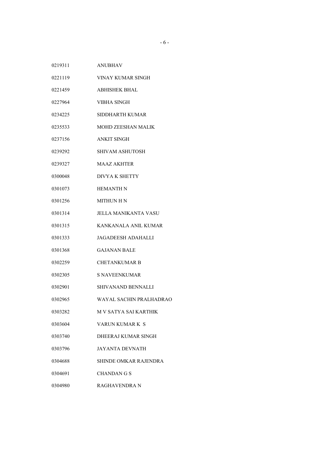| 0219311 | <b>ANUBHAV</b> |
|---------|----------------|
|         |                |

- VINAY KUMAR SINGH
- ABHISHEK BHAL
- VIBHA SINGH
- SIDDHARTH KUMAR
- MOHD ZEESHAN MALIK
- ANKIT SINGH
- SHIVAM ASHUTOSH
- MAAZ AKHTER
- DIVYA K SHETTY
- HEMANTH N
- MITHUN H N
- JELLA MANIKANTA VASU
- KANKANALA ANIL KUMAR
- JAGADEESH ADAHALLI
- GAJANAN BALE
- CHETANKUMAR B
- S NAVEENKUMAR
- SHIVANAND BENNALLI
- WAYAL SACHIN PRALHADRAO
- M V SATYA SAI KARTHIK
- VARUN KUMAR K S
- DHEERAJ KUMAR SINGH
- JAYANTA DEVNATH
- SHINDE OMKAR RAJENDRA
- CHANDAN G S
- RAGHAVENDRA N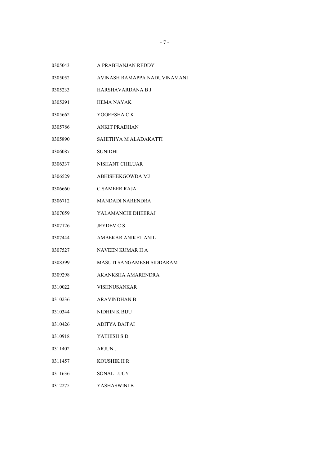- A PRABHANJAN REDDY
- AVINASH RAMAPPA NADUVINAMANI
- HARSHAVARDANA B J
- 0305291 HEMA NAYAK
- YOGEESHA C K
- ANKIT PRADHAN
- SAHITHYA M ALADAKATTI
- SUNIDHI
- NISHANT CHILUAR
- ABHISHEKGOWDA MJ
- C SAMEER RAJA
- MANDADI NARENDRA
- YALAMANCHI DHEERAJ
- **JEYDEV C S**
- AMBEKAR ANIKET ANIL
- NAVEEN KUMAR H A
- MASUTI SANGAMESH SIDDARAM
- AKANKSHA AMARENDRA
- VISHNUSANKAR
- ARAVINDHAN B
- NIDHIN K BIJU
- ADITYA BAJPAI
- YATHISH S D
- ARJUN J
- KOUSHIK H R
- 0311636 SONAL LUCY
- YASHASWINI B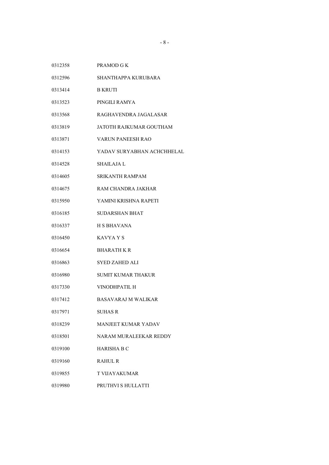- PRAMOD G K
- SHANTHAPPA KURUBARA
- 0313414 B KRUTI
- PINGILI RAMYA
- RAGHAVENDRA JAGALASAR
- JATOTH RAJKUMAR GOUTHAM
- VARUN PANEESH RAO
- YADAV SURYABHAN ACHCHHELAL
- SHAILAJA L
- SRIKANTH RAMPAM
- RAM CHANDRA JAKHAR
- YAMINI KRISHNA RAPETI
- SUDARSHAN BHAT
- H S BHAVANA
- KAVYA Y S
- BHARATH K R
- SYED ZAHED ALI
- SUMIT KUMAR THAKUR
- VINODHPATIL H
- BASAVARAJ M WALIKAR
- SUHAS R
- MANJEET KUMAR YADAV
- NARAM MURALEEKAR REDDY
- HARISHA B C
- RAHUL R
- T VIJAYAKUMAR
- PRUTHVI S HULLATTI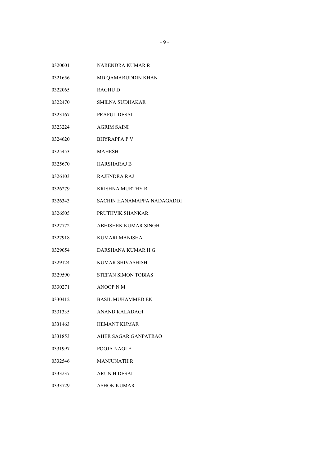- NARENDRA KUMAR R
- MD QAMARUDDIN KHAN
- RAGHU D
- SMILNA SUDHAKAR
- PRAFUL DESAI
- AGRIM SAINI
- BHYRAPPA P V
- MAHESH
- HARSHARAJ B
- RAJENDRA RAJ
- KRISHNA MURTHY R
- SACHIN HANAMAPPA NADAGADDI
- PRUTHVIK SHANKAR
- ABHISHEK KUMAR SINGH
- KUMARI MANISHA
- DARSHANA KUMAR H G
- KUMAR SHIVASHISH
- STEFAN SIMON TOBIAS
- ANOOP N M
- BASIL MUHAMMED EK
- ANAND KALADAGI
- HEMANT KUMAR
- AHER SAGAR GANPATRAO
- POOJA NAGLE
- MANJUNATH R
- ARUN H DESAI
- ASHOK KUMAR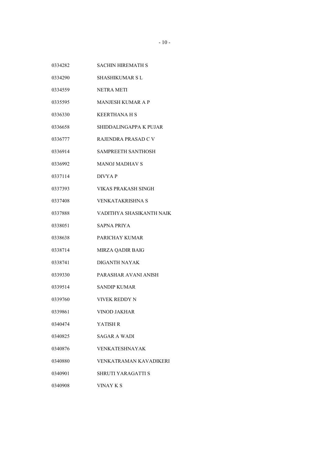- SACHIN HIREMATH S
- SHASHIKUMAR S L
- NETRA METI
- MANJESH KUMAR A P
- KEERTHANA H S
- SHIDDALINGAPPA K PUJAR
- RAJENDRA PRASAD C V
- SAMPREETH SANTHOSH
- MANOJ MADHAV S
- DIVYA P
- VIKAS PRAKASH SINGH
- VENKATAKRISHNA S
- VADITHYA SHASIKANTH NAIK
- SAPNA PRIYA
- PARICHAY KUMAR
- MIRZA QADIR BAIG
- DIGANTH NAYAK
- PARASHAR AVANI ANISH
- SANDIP KUMAR
- VIVEK REDDY N
- VINOD JAKHAR
- YATISH R
- SAGAR A WADI
- VENKATESHNAYAK
- VENKATRAMAN KAVADIKERI
- SHRUTI YARAGATTI S
- VINAY K S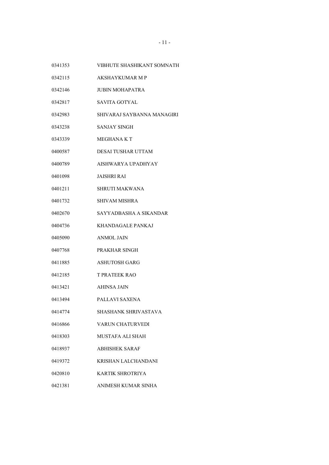- VIBHUTE SHASHIKANT SOMNATH
- AKSHAYKUMAR M P
- JUBIN MOHAPATRA
- SAVITA GOTYAL
- SHIVARAJ SAYBANNA MANAGIRI
- SANJAY SINGH
- MEGHANA K T
- DESAI TUSHAR UTTAM
- AISHWARYA UPADHYAY
- JAISHRI RAI
- SHRUTI MAKWANA
- SHIVAM MISHRA
- SAYYADBASHA A SIKANDAR
- KHANDAGALE PANKAJ
- ANMOL JAIN
- PRAKHAR SINGH
- ASHUTOSH GARG
- T PRATEEK RAO
- AHINSA JAIN
- PALLAVI SAXENA
- SHASHANK SHRIVASTAVA
- VARUN CHATURVEDI
- MUSTAFA ALI SHAH
- ABHISHEK SARAF
- KRISHAN LALCHANDANI
- KARTIK SHROTRIYA
- ANIMESH KUMAR SINHA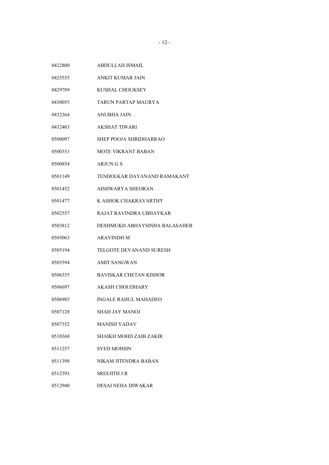| 0422800 | ABDULLAH ISMAIL               |
|---------|-------------------------------|
| 0425555 | ANKIT KUMAR JAIN              |
| 0429789 | KUSHAL CHOUKSEY               |
| 0430055 | TARUN PARTAP MAURYA           |
| 0432364 | <b>ANUBHA JAIN</b>            |
| 0432403 | <b>AKSHAT TIWARI</b>          |
| 0500097 | SHEP POOJA SHRIDHARRAO        |
| 0500351 | MOTE VIKRANT BABAN            |
| 0500854 | ARJUN G S                     |
| 0501149 | TENDOLKAR DAYANAND RAMAKANT   |
| 0501452 | AISHWARYA SHEORAN             |
| 0501477 | K ASHOK CHAKRAVARTHY          |
| 0502557 | RAJAT RAVINDRA UBHAYKAR       |
| 0503812 | DESHMUKH ABHAYSINHA BALASAHEB |
| 0505063 | <b>ARAVINDH M</b>             |
| 0505194 | TELGOTE DEVANAND SURESH       |
| 0505594 | AMIT SANGWAN                  |
| 0506355 | <b>BAVISKAR CHETAN KISHOR</b> |
| 0506697 | AKASH CHOUDHARY               |
| 0506985 | <b>INGALE RAHUL MAHADEO</b>   |
| 0507128 | SHAH JAY MANOJ                |
| 0507352 | <b>MANISH YADAV</b>           |
| 0510368 | SHAIKH MOHD ZAIB ZAKIR        |
| 0511257 | SYED MOHSIN                   |
| 0511398 | NIKAM JITENDRA BABAN          |
| 0512393 | SREEJITH J R                  |
| 0512940 | DESAI NEHA DIWAKAR            |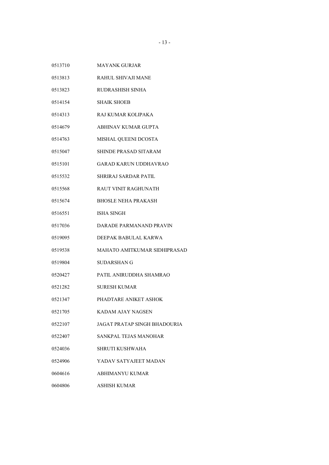- MAYANK GURJAR
- RAHUL SHIVAJI MANE
- RUDRASHISH SINHA
- SHAIK SHOEB
- RAJ KUMAR KOLIPAKA
- ABHINAV KUMAR GUPTA
- MISHAL QUEENI DCOSTA
- SHINDE PRASAD SITARAM
- GARAD KARUN UDDHAVRAO
- SHRIRAJ SARDAR PATIL
- RAUT VINIT RAGHUNATH
- BHOSLE NEHA PRAKASH
- ISHA SINGH
- DARADE PARMANAND PRAVIN
- DEEPAK BABULAL KARWA
- MAHATO AMITKUMAR SIDHIPRASAD
- SUDARSHAN G
- PATIL ANIRUDDHA SHAMRAO
- SURESH KUMAR
- PHADTARE ANIKET ASHOK
- KADAM AJAY NAGSEN
- JAGAT PRATAP SINGH BHADOURIA
- SANKPAL TEJAS MANOHAR
- SHRUTI KUSHWAHA
- YADAV SATYAJEET MADAN
- ABHIMANYU KUMAR
- ASHISH KUMAR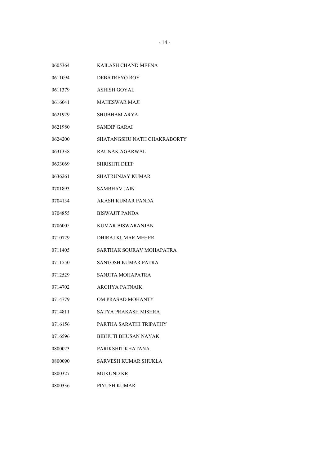KAILASH CHAND MEENA DEBATREYO ROY ASHISH GOYAL MAHESWAR MAJI SHUBHAM ARYA SANDIP GARAI SHATANGSHU NATH CHAKRABORTY RAUNAK AGARWAL SHRISHTI DEEP SHATRUNJAY KUMAR SAMBHAV JAIN AKASH KUMAR PANDA BISWAJIT PANDA KUMAR BISWARANJAN DHIRAJ KUMAR MEHER SARTHAK SOURAV MOHAPATRA SANTOSH KUMAR PATRA SANJITA MOHAPATRA ARGHYA PATNAIK OM PRASAD MOHANTY SATYA PRAKASH MISHRA PARTHA SARATHI TRIPATHY BIBHUTI BHUSAN NAYAK PARIKSHIT KHATANA SARVESH KUMAR SHUKLA MUKUND KR PIYUSH KUMAR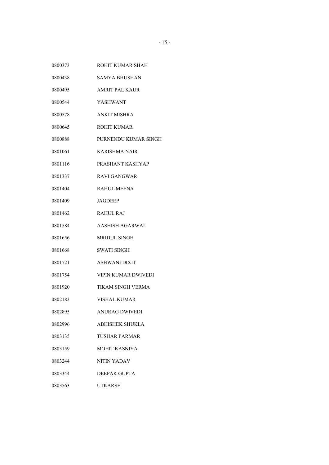ROHIT KUMAR SHAH SAMYA BHUSHAN AMRIT PAL KAUR YASHWANT ANKIT MISHRA ROHIT KUMAR PURNENDU KUMAR SINGH KARISHMA NAIR PRASHANT KASHYAP RAVI GANGWAR RAHUL MEENA JAGDEEP RAHUL RAJ AASHISH AGARWAL MRIDUL SINGH SWATI SINGH ASHWANI DIXIT VIPIN KUMAR DWIVEDI TIKAM SINGH VERMA VISHAL KUMAR ANURAG DWIVEDI ABHISHEK SHUKLA TUSHAR PARMAR MOHIT KASNIYA NITIN YADAV DEEPAK GUPTA UTKARSH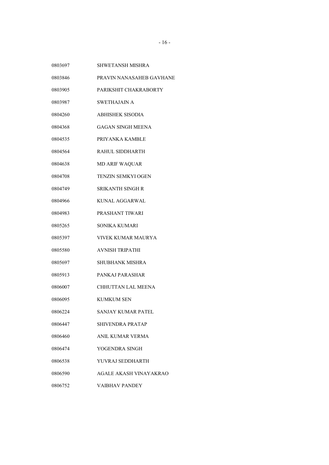- SHWETANSH MISHRA
- PRAVIN NANASAHEB GAVHANE
- PARIKSHIT CHAKRABORTY
- SWETHAJAIN A
- ABHISHEK SISODIA
- GAGAN SINGH MEENA
- PRIYANKA KAMBLE
- RAHUL SIDDHARTH
- MD ARIF WAQUAR
- TENZIN SEMKYI OGEN
- SRIKANTH SINGH R
- KUNAL AGGARWAL
- PRASHANT TIWARI
- SONIKA KUMARI
- VIVEK KUMAR MAURYA
- AVNISH TRIPATHI
- SHUBHANK MISHRA
- PANKAJ PARASHAR
- CHHUTTAN LAL MEENA
- 0806095 KUMKUM SEN
- SANJAY KUMAR PATEL
- SHIVENDRA PRATAP
- ANIL KUMAR VERMA
- YOGENDRA SINGH
- YUVRAJ SEDDHARTH
- AGALE AKASH VINAYAKRAO
- VAIBHAV PANDEY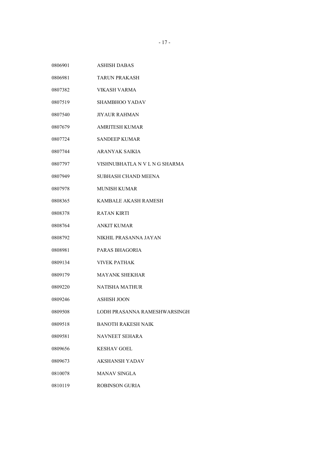| 0806901 | <b>ASHISH DABAS</b>           |
|---------|-------------------------------|
| 0806981 | TARUN PRAKASH                 |
| 0807382 | VIKASH VARMA                  |
| 0807519 | <b>SHAMBHOO YADAV</b>         |
| 0807540 | <b>JIYAUR RAHMAN</b>          |
| 0807679 | <b>AMRITESH KUMAR</b>         |
| 0807724 | <b>SANDEEP KUMAR</b>          |
| 0807744 | ARANYAK SAIKIA                |
| 0807797 | VISHNUBHATLA N V L N G SHARMA |
| 0807949 | SUBHASH CHAND MEENA           |
| 0807978 | <b>MUNISH KUMAR</b>           |
| 0808365 | KAMBALE AKASH RAMESH          |
| 0808378 | <b>RATAN KIRTI</b>            |
| 0808764 | <b>ANKIT KUMAR</b>            |
| 0808792 | NIKHIL PRASANNA JAYAN         |
| 0808981 | PARAS BHAGORIA                |
| 0809134 | <b>VIVEK PATHAK</b>           |
| 0809179 | <b>MAYANK SHEKHAR</b>         |
| 0809220 | <b>NATISHA MATHUR</b>         |
| 0809246 | <b>ASHISH JOON</b>            |
| 0809508 | LODH PRASANNA RAMESHWARSINGH  |
| 0809518 | <b>BANOTH RAKESH NAIK</b>     |
| 0809581 | <b>NAVNEET SEHARA</b>         |
| 0809656 | <b>KESHAV GOEL</b>            |
| 0809673 | AKSHANSH YADAV                |
| 0810078 | <b>MANAV SINGLA</b>           |
| 0810119 | <b>ROBINSON GURIA</b>         |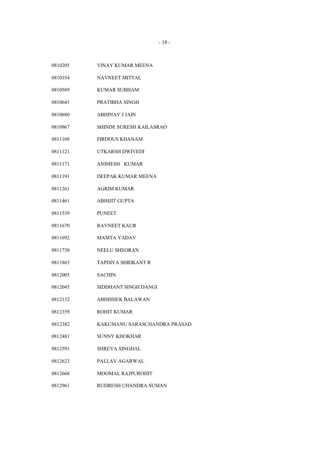| 0810205 | <b>VINAY KUMAR MEENA</b>     |
|---------|------------------------------|
| 0810354 | <b>NAVNEET MITTAL</b>        |
| 0810589 | <b>KUMAR SUBHAM</b>          |
| 0810641 | PRATIBHA SINGH               |
| 0810680 | <b>ABHINAV J JAIN</b>        |
| 0810967 | SHINDE SURESH KAILASRAO      |
| 0811108 | <b>FIRDOUS KHANAM</b>        |
| 0811121 | UTKARSH DWIVEDI              |
| 0811171 | <b>ANIMESH KUMAR</b>         |
| 0811191 | DEEPAK KUMAR MEENA           |
| 0811261 | <b>AGRIM KUMAR</b>           |
| 0811461 | <b>ABHIJIT GUPTA</b>         |
| 0811539 | <b>PUNEET</b>                |
| 0811670 | <b>RAVNEET KAUR</b>          |
| 0811692 | <b>MAMTA YADAV</b>           |
| 0811730 | <b>NEELU SHEORAN</b>         |
| 0811863 | <b>TAPDIYA SHRIKANT R</b>    |
| 0812005 | <b>SACHIN</b>                |
| 0812045 | SIDDHANT SINGH DANGI         |
| 0812132 | <b>ABHISHEK BALAWAN</b>      |
| 0812359 | <b>ROHIT KUMAR</b>           |
| 0812382 | KAKUMANU SARASCHANDRA PRASAD |
| 0812481 | <b>SUNNY KHOKHAR</b>         |
| 0812591 | <b>SHREYA SINGHAL</b>        |
| 0812623 | PALLAV AGARWAL               |
| 0812668 | <b>MOOMAL RAJPUROHIT</b>     |
| 0812961 | RUDRESH CHANDRA SUMAN        |
|         |                              |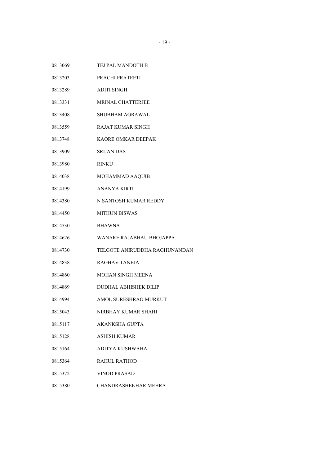| 0813069 | TEJ PAL MANDOTH B             |
|---------|-------------------------------|
| 0813203 | PRACHI PRATEETI               |
| 0813289 | <b>ADITI SINGH</b>            |
| 0813331 | <b>MRINAL CHATTERJEE</b>      |
| 0813408 | SHUBHAM AGRAWAL               |
| 0813559 | <b>RAJAT KUMAR SINGH</b>      |
| 0813748 | KAORE OMKAR DEEPAK            |
| 0813909 | <b>SRIJAN DAS</b>             |
| 0813980 | <b>RINKU</b>                  |
| 0814038 | MOHAMMAD AAQUIB               |
| 0814199 | ANANYA KIRTI                  |
| 0814380 | N SANTOSH KUMAR REDDY         |
| 0814450 | <b>MITHUN BISWAS</b>          |
| 0814530 | <b>BHAWNA</b>                 |
| 0814626 | WANARE RAJABHAU BHOJAPPA      |
| 0814730 | TELGOTE ANIRUDDHA RAGHUNANDAN |
| 0814838 | RAGHAV TANEJA                 |
| 0814860 | <b>MOHAN SINGH MEENA</b>      |
| 0814869 | DUDHAL ABHISHEK DILIP         |
| 0814994 | AMOL SURESHRAO MURKUT         |
| 0815043 | NIRBHAY KUMAR SHAHI           |
| 0815117 | <b>AKANKSHA GUPTA</b>         |
| 0815128 | <b>ASHISH KUMAR</b>           |
| 0815164 | ADITYA KUSHWAHA               |
| 0815364 | <b>RAHUL RATHOD</b>           |
| 0815372 | <b>VINOD PRASAD</b>           |
| 0815380 | CHANDRASHEKHAR MEHRA          |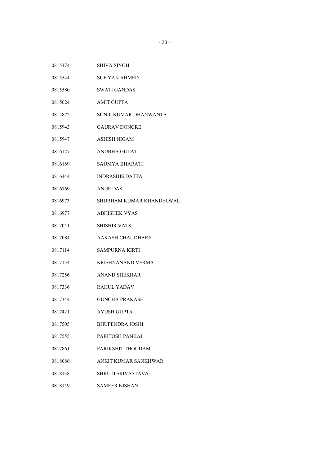- SHIVA SINGH
- SUFIYAN AHMED
- SWATI GANDAS
- AMIT GUPTA
- SUNIL KUMAR DHANWANTA
- GAURAV DONGRE
- ASHISH NIGAM
- ANUBHA GULATI
- SAUMYA BHARATI
- INDRASHIS DATTA
- ANUP DAS
- SHUBHAM KUMAR KHANDELWAL
- ABHISHEK VYAS
- SHISHIR VATS
- AAKASH CHAUDHARY
- SAMPURNA KIRTI
- KRISHNANAND VERMA
- ANAND SHEKHAR
- RAHUL YADAV
- GUNCHA PRAKASH
- AYUSH GUPTA
- BHUPENDRA JOSHI
- PARITOSH PANKAJ
- PARIKSHIT THOUDAM
- ANKIT KUMAR SANKHWAR
- SHRUTI SRIVASTAVA
- SAMEER KISHAN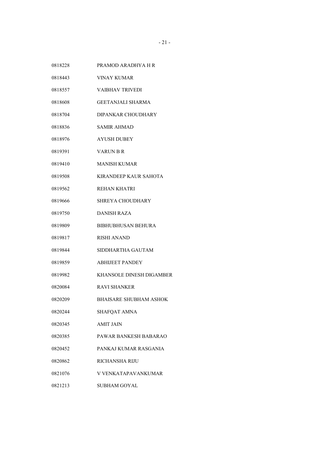PRAMOD ARADHYA H R VINAY KUMAR VAIBHAV TRIVEDI GEETANJALI SHARMA DIPANKAR CHOUDHARY SAMIR AHMAD AYUSH DUBEY VARUN B R MANISH KUMAR KIRANDEEP KAUR SAHOTA REHAN KHATRI SHREYA CHOUDHARY DANISH RAZA BIBHUBHUSAN BEHURA RISHI ANAND SIDDHARTHA GAUTAM ABHIJEET PANDEY KHANSOLE DINESH DIGAMBER RAVI SHANKER BHAISARE SHUBHAM ASHOK 0820244 SHAFOAT AMNA AMIT JAIN PAWAR BANKESH BABARAO PANKAJ KUMAR RASGANIA RICHANSHA RIJU V VENKATAPAVANKUMAR SUBHAM GOYAL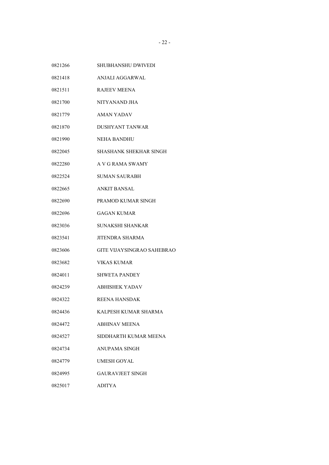- SHUBHANSHU DWIVEDI
- ANJALI AGGARWAL
- RAJEEV MEENA
- NITYANAND JHA
- AMAN YADAV
- DUSHYANT TANWAR
- NEHA BANDHU
- SHASHANK SHEKHAR SINGH
- A V G RAMA SWAMY
- SUMAN SAURABH
- ANKIT BANSAL
- PRAMOD KUMAR SINGH
- GAGAN KUMAR
- SUNAKSHI SHANKAR
- JITENDRA SHARMA
- GITE VIJAYSINGRAO SAHEBRAO
- VIKAS KUMAR
- SHWETA PANDEY
- ABHISHEK YADAV
- REENA HANSDAK
- KALPESH KUMAR SHARMA
- ABHINAV MEENA
- SIDDHARTH KUMAR MEENA
- ANUPAMA SINGH
- UMESH GOYAL
- GAURAVJEET SINGH
- ADITYA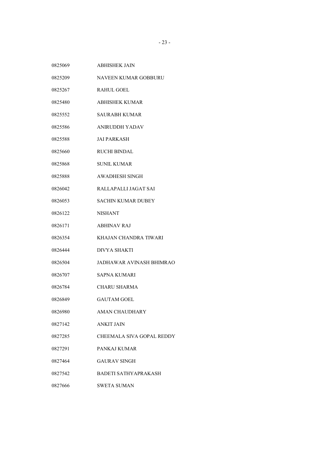- NAVEEN KUMAR GOBBURU
- RAHUL GOEL
- ABHISHEK KUMAR
- SAURABH KUMAR
- ANIRUDDH YADAV
- JAI PARKASH
- RUCHI BINDAL
- SUNIL KUMAR
- AWADHESH SINGH
- RALLAPALLI JAGAT SAI
- SACHIN KUMAR DUBEY
- NISHANT
- ABHINAV RAJ
- KHAJAN CHANDRA TIWARI
- DIVYA SHAKTI
- JADHAWAR AVINASH BHIMRAO
- SAPNA KUMARI
- CHARU SHARMA
- GAUTAM GOEL
- AMAN CHAUDHARY
- ANKIT JAIN
- CHEEMALA SIVA GOPAL REDDY
- PANKAJ KUMAR
- GAURAV SINGH
- BADETI SATHYAPRAKASH
- SWETA SUMAN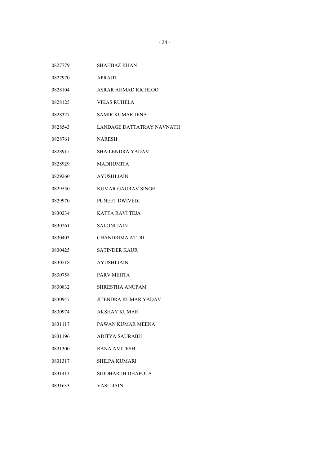- SHAHBAZ KHAN
- APRAJIT
- ASRAR AHMAD KICHLOO
- VIKAS RUHELA
- SAMIR KUMAR JENA
- LANDAGE DATTATRAY NAVNATH
- NARESH
- SHAILENDRA YADAV
- MADHUMITA
- AYUSHI JAIN
- KUMAR GAURAV SINGH
- PUNEET DWIVEDI
- KATTA RAVI TEJA
- SALONI JAIN
- CHANDRIMA ATTRI
- SATINDER KAUR
- AYUSHI JAIN
- PARV MEHTA
- SHRESTHA ANUPAM
- JITENDRA KUMAR YADAV
- AKSHAY KUMAR
- PAWAN KUMAR MEENA
- ADITYA SAURABH
- RANA AMITESH
- SHILPA KUMARI
- SIDDHARTH DHAPOLA
- VASU JAIN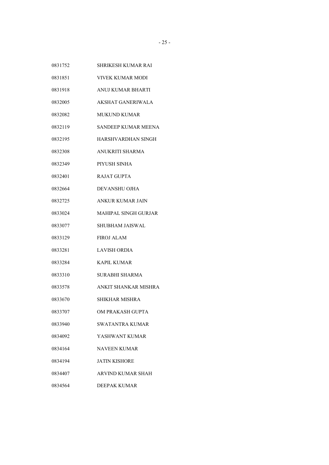- SHRIKESH KUMAR RAI
- VIVEK KUMAR MODI
- ANUJ KUMAR BHARTI
- AKSHAT GANERIWALA
- MUKUND KUMAR
- SANDEEP KUMAR MEENA
- HARSHVARDHAN SINGH
- ANUKRITI SHARMA
- PIYUSH SINHA
- RAJAT GUPTA
- DEVANSHU OJHA
- ANKUR KUMAR JAIN
- MAHIPAL SINGH GURJAR
- SHUBHAM JAISWAL
- FIROJ ALAM
- LAVISH ORDIA
- KAPIL KUMAR
- SURABHI SHARMA
- ANKIT SHANKAR MISHRA
- SHIKHAR MISHRA
- OM PRAKASH GUPTA
- SWATANTRA KUMAR
- YASHWANT KUMAR
- NAVEEN KUMAR
- JATIN KISHORE
- ARVIND KUMAR SHAH
- DEEPAK KUMAR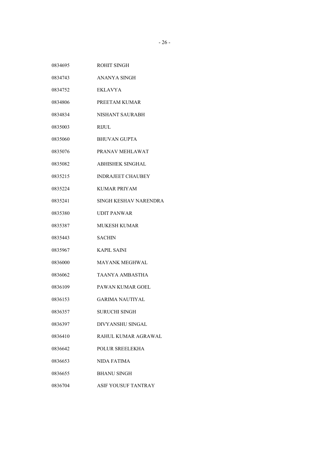| 0834695 | ROHIT SINGH                |
|---------|----------------------------|
| 0834743 | <b>ANANYA SINGH</b>        |
| 0834752 | <b>EKLAVYA</b>             |
| 0834806 | PREETAM KUMAR              |
| 0834834 | <b>NISHANT SAURABH</b>     |
| 0835003 | <b>RIJUL</b>               |
| 0835060 | <b>BHUVAN GUPTA</b>        |
| 0835076 | PRANAV MEHLAWAT            |
| 0835082 | <b>ABHISHEK SINGHAL</b>    |
| 0835215 | <b>INDRAJEET CHAUBEY</b>   |
| 0835224 | <b>KUMAR PRIYAM</b>        |
| 0835241 | SINGH KESHAV NARENDRA      |
| 0835380 | <b>UDIT PANWAR</b>         |
| 0835387 | <b>MUKESH KUMAR</b>        |
| 0835443 | <b>SACHIN</b>              |
| 0835967 | <b>KAPIL SAINI</b>         |
| 0836000 | <b>MAYANK MEGHWAL</b>      |
| 0836062 | TAANYA AMBASTHA            |
| 0836109 | <b>PAWAN KUMAR GOEL</b>    |
| 0836153 | <b>GARIMA NAUTIYAL</b>     |
| 0836357 | <b>SURUCHI SINGH</b>       |
| 0836397 | DIVYANSHU SINGAL           |
| 0836410 | RAHUL KUMAR AGRAWAL        |
| 0836642 | POLUR SREELEKHA            |
| 0836653 | NIDA FATIMA                |
| 0836655 | <b>BHANU SINGH</b>         |
| 0836704 | <b>ASIF YOUSUF TANTRAY</b> |
|         |                            |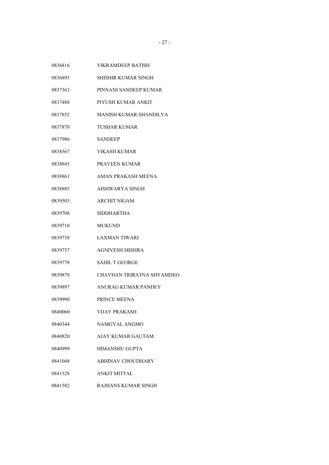| 0836816 | <b>VIKRAMDEEP BATISH</b>   |
|---------|----------------------------|
| 0836895 | <b>SHISHIR KUMAR SINGH</b> |
| 0837363 | PINNANI SANDEEP KUMAR      |
| 0837488 | PIYUSH KUMAR ANKIT         |
| 0837852 | MANISH KUMAR SHANDILYA     |
| 0837870 | TUSHAR KUMAR               |
| 0837986 | <b>SANDEEP</b>             |
| 0838567 | VIKASH KUMAR               |
| 0838843 | PRAVEEN KUMAR              |
| 0838861 | AMAN PRAKASH MEENA         |
| 0838885 | AISHWARYA SINGH            |
| 0839505 | <b>ARCHIT NIGAM</b>        |
| 0839708 | SIDDHARTHA                 |
| 0839710 | <b>MUKUND</b>              |
| 0839738 | <b>LAXMAN TIWARI</b>       |
| 0839757 | <b>AGNIVESH MISHRA</b>     |
| 0839778 | <b>SAHIL T GEORGE</b>      |
| 0839878 | CHAVHAN TRIRATNA SHYAMDEO  |
| 0839897 | ANURAG KUMAR PANDEY        |
| 0839990 | PRINCE MEENA               |
| 0840060 | VIJAY PRAKASH              |
| 0840344 | NAMGYAL ANGMO              |
| 0840820 | AJAY KUMAR GAUTAM          |
| 0840999 | <b>HIMANSHU GUPTA</b>      |
| 0841048 | <b>ABHINAV CHOUDHARY</b>   |
| 0841328 | <b>ANKIT MITTAL</b>        |
| 0841582 | RAJHANS KUMAR SINGH        |
|         |                            |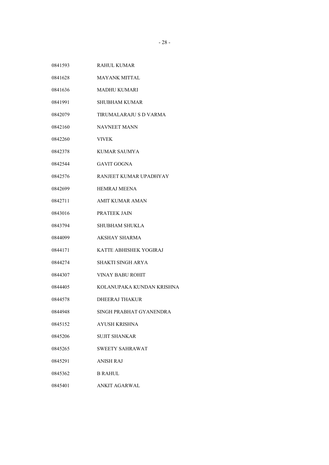| 0841593 | <b>RAHUL KUMAR</b>        |
|---------|---------------------------|
| 0841628 | <b>MAYANK MITTAL</b>      |
| 0841636 | <b>MADHU KUMARI</b>       |
| 0841991 | <b>SHUBHAM KUMAR</b>      |
| 0842079 | TIRUMALARAJU S D VARMA    |
| 0842160 | <b>NAVNEET MANN</b>       |
| 0842260 | <b>VIVEK</b>              |
| 0842378 | KUMAR SAUMYA              |
| 0842544 | <b>GAVIT GOGNA</b>        |
| 0842576 | RANJEET KUMAR UPADHYAY    |
| 0842699 | <b>HEMRAJ MEENA</b>       |
| 0842711 | <b>AMIT KUMAR AMAN</b>    |
| 0843016 | PRATEEK JAIN              |
| 0843794 | <b>SHUBHAM SHUKLA</b>     |
| 0844099 | AKSHAY SHARMA             |
| 0844171 | KATTE ABHISHEK YOGIRAJ    |
| 0844274 | SHAKTI SINGH ARYA         |
| 0844307 | <b>VINAY BABU ROHIT</b>   |
| 0844405 | KOLANUPAKA KUNDAN KRISHNA |
| 0844578 | <b>DHEERAJ THAKUR</b>     |
| 0844948 | SINGH PRABHAT GYANENDRA   |
| 0845152 | AYUSH KRISHNA             |
| 0845206 | <b>SUJIT SHANKAR</b>      |
| 0845265 | <b>SWEETY SAHRAWAT</b>    |
| 0845291 | ANISH RAJ                 |
| 0845362 | <b>B RAHUL</b>            |
| 0845401 | ANKIT AGARWAL             |
|         |                           |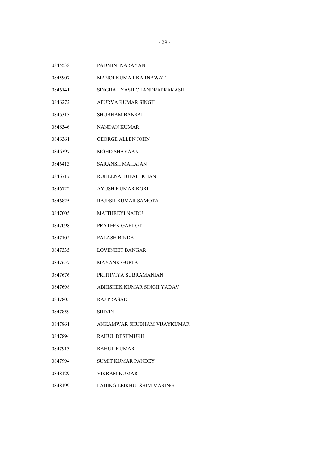- PADMINI NARAYAN
- MANOJ KUMAR KARNAWAT
- SINGHAL YASH CHANDRAPRAKASH
- APURVA KUMAR SINGH
- SHUBHAM BANSAL
- NANDAN KUMAR
- GEORGE ALLEN JOHN
- MOHD SHAYAAN
- SARANSH MAHAJAN
- RUHEENA TUFAIL KHAN
- AYUSH KUMAR KORI
- RAJESH KUMAR SAMOTA
- MAITHREYI NAIDU
- PRATEEK GAHLOT
- PALASH BINDAL
- LOVENEET BANGAR
- MAYANK GUPTA
- PRITHVIYA SUBRAMANIAN
- ABHISHEK KUMAR SINGH YADAV
- RAJ PRASAD
- SHIVIN
- ANKAMWAR SHUBHAM VIJAYKUMAR
- RAHUL DESHMUKH
- RAHUL KUMAR
- SUMIT KUMAR PANDEY
- VIKRAM KUMAR
- LAIJING LEIKHULSHIM MARING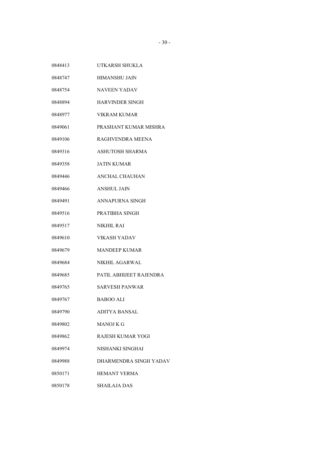- UTKARSH SHUKLA
- HIMANSHU JAIN
- NAVEEN YADAV
- HARVINDER SINGH
- VIKRAM KUMAR
- PRASHANT KUMAR MISHRA
- RAGHVENDRA MEENA
- ASHUTOSH SHARMA
- JATIN KUMAR
- ANCHAL CHAUHAN
- ANSHUL JAIN
- ANNAPURNA SINGH
- PRATIBHA SINGH
- NIKHIL RAI
- VIKASH YADAV
- MANDEEP KUMAR
- NIKHIL AGARWAL
- PATIL ABHIJEET RAJENDRA
- SARVESH PANWAR
- BABOO ALI
- ADITYA BANSAL
- MANOJ K G
- RAJESH KUMAR YOGI
- NISHANKI SINGHAI
- DHARMENDRA SINGH YADAV
- HEMANT VERMA
- SHAILAJA DAS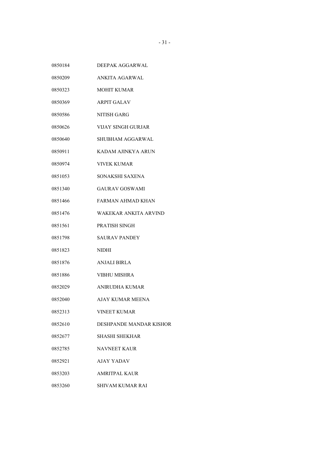- DEEPAK AGGARWAL
- ANKITA AGARWAL
- MOHIT KUMAR
- ARPIT GALAV
- NITISH GARG
- VIJAY SINGH GURJAR
- SHUBHAM AGGARWAL
- KADAM AJINKYA ARUN
- VIVEK KUMAR
- SONAKSHI SAXENA
- GAURAV GOSWAMI
- FARMAN AHMAD KHAN
- WAKEKAR ANKITA ARVIND
- PRATISH SINGH
- SAURAV PANDEY
- NIDHI
- ANJALI BIRLA
- VIBHU MISHRA
- ANIRUDHA KUMAR
- AJAY KUMAR MEENA
- VINEET KUMAR
- DESHPANDE MANDAR KISHOR
- SHASHI SHEKHAR
- NAVNEET KAUR
- AJAY YADAV
- AMRITPAL KAUR
- SHIVAM KUMAR RAI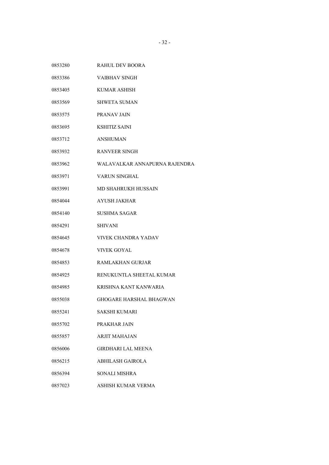VAIBHAV SINGH KUMAR ASHISH SHWETA SUMAN PRANAV JAIN KSHITIZ SAINI ANSHUMAN RANVEER SINGH WALAVALKAR ANNAPURNA RAJENDRA VARUN SINGHAL MD SHAHRUKH HUSSAIN AYUSH JAKHAR SUSHMA SAGAR SHIVANI VIVEK CHANDRA YADAV VIVEK GOYAL RAMLAKHAN GURJAR RENUKUNTLA SHEETAL KUMAR KRISHNA KANT KANWARIA GHOGARE HARSHAL BHAGWAN SAKSHI KUMARI PRAKHAR JAIN ARJIT MAHAJAN GIRDHARI LAL MEENA ABHILASH GAIROLA SONALI MISHRA ASHISH KUMAR VERMA

RAHUL DEV BOORA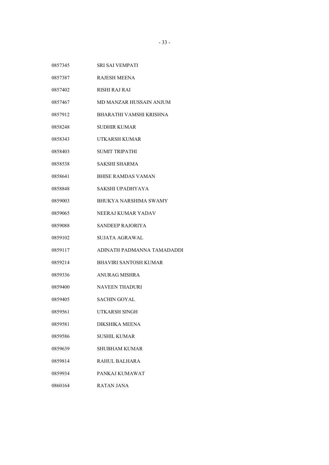| 0857345 | SRI SAI VEMPATI              |
|---------|------------------------------|
| 0857387 | <b>RAJESH MEENA</b>          |
| 0857402 | RISHI RAJ RAI                |
| 0857467 | MD MANZAR HUSSAIN ANJUM      |
| 0857912 | BHARATHI VAMSHI KRISHNA      |
| 0858248 | <b>SUDHIR KUMAR</b>          |
| 0858343 | UTKARSH KUMAR                |
| 0858403 | <b>SUMIT TRIPATHI</b>        |
| 0858538 | SAKSHI SHARMA                |
| 0858641 | <b>BHISE RAMDAS VAMAN</b>    |
| 0858848 | SAKSHI UPADHYAYA             |
| 0859003 | <b>BHUKYA NARSHIMA SWAMY</b> |
| 0859065 | NEERAJ KUMAR YADAV           |
| 0859088 | SANDEEP RAJORIYA             |
| 0859102 | SUJATA AGRAWAL               |
| 0859117 | ADINATH PADMANNA TAMADADDI   |
| 0859214 | BHAVIRI SANTOSH KUMAR        |
| 0859336 | <b>ANURAG MISHRA</b>         |
| 0859400 | <b>NAVEEN THADURI</b>        |
| 0859405 | SACHIN GOYAL                 |
| 0859561 | <b>UTKARSH SINGH</b>         |
| 0859581 | DIKSHIKA MEENA               |
| 0859586 | SUSHIL KUMAR                 |
| 0859639 | SHUBHAM KUMAR                |
| 0859814 | RAHUL BALHARA                |
| 0859934 | PANKAJ KUMAWAT               |
| 0860164 | RATAN JANA                   |
|         |                              |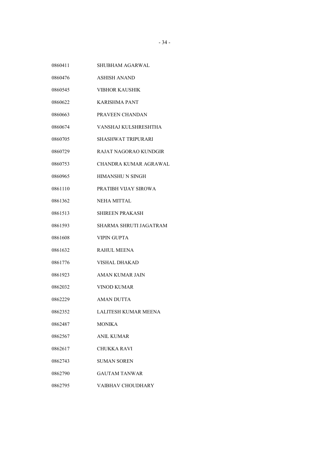- SHUBHAM AGARWAL
- ASHISH ANAND
- VIBHOR KAUSHIK
- KARISHMA PANT
- PRAVEEN CHANDAN
- VANSHAJ KULSHRESHTHA
- SHASHWAT TRIPURARI
- RAJAT NAGORAO KUNDGIR
- CHANDRA KUMAR AGRAWAL
- HIMANSHU N SINGH
- PRATIBH VIJAY SIROWA
- NEHA MITTAL
- SHIREEN PRAKASH
- SHARMA SHRUTI JAGATRAM
- VIPIN GUPTA
- RAHUL MEENA
- VISHAL DHAKAD
- AMAN KUMAR JAIN
- VINOD KUMAR
- AMAN DUTTA
- LALITESH KUMAR MEENA
- MONIKA
- ANIL KUMAR
- CHUKKA RAVI
- SUMAN SOREN
- GAUTAM TANWAR
- VAIBHAV CHOUDHARY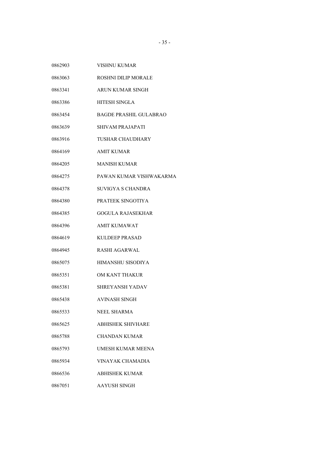- VISHNU KUMAR
- ROSHNI DILIP MORALE
- ARUN KUMAR SINGH
- HITESH SINGLA
- BAGDE PRASHIL GULABRAO
- SHIVAM PRAJAPATI
- TUSHAR CHAUDHARY
- AMIT KUMAR
- MANISH KUMAR
- PAWAN KUMAR VISHWAKARMA
- SUVIGYA S CHANDRA
- PRATEEK SINGOTIYA
- GOGULA RAJASEKHAR
- AMIT KUMAWAT
- KULDEEP PRASAD
- RASHI AGARWAL
- HIMANSHU SISODIYA
- OM KANT THAKUR
- SHREYANSH YADAV
- AVINASH SINGH
- NEEL SHARMA
- ABHISHEK SHIVHARE
- CHANDAN KUMAR
- UMESH KUMAR MEENA
- VINAYAK CHAMADIA
- ABHISHEK KUMAR
- AAYUSH SINGH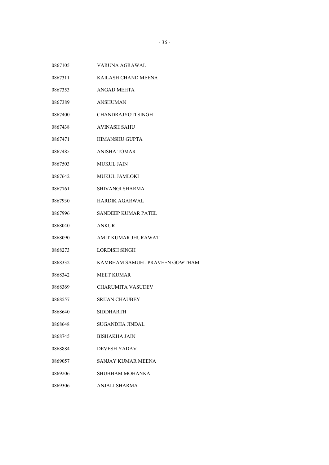- VARUNA AGRAWAL
- KAILASH CHAND MEENA
- ANGAD MEHTA
- ANSHUMAN
- CHANDRAJYOTI SINGH
- AVINASH SAHU
- 0867471 HIMANSHU GUPTA
- ANISHA TOMAR
- MUKUL JAIN
- MUKUL JAMLOKI
- SHIVANGI SHARMA
- HARDIK AGARWAL
- SANDEEP KUMAR PATEL
- ANKUR
- AMIT KUMAR JHURAWAT
- LORDISH SINGH
- KAMBHAM SAMUEL PRAVEEN GOWTHAM
- MEET KUMAR
- CHARUMITA VASUDEV
- SRIJAN CHAUBEY
- SIDDHARTH
- SUGANDHA JINDAL
- BISHAKHA JAIN
- DEVESH YADAV
- SANJAY KUMAR MEENA
- SHUBHAM MOHANKA
- ANJALI SHARMA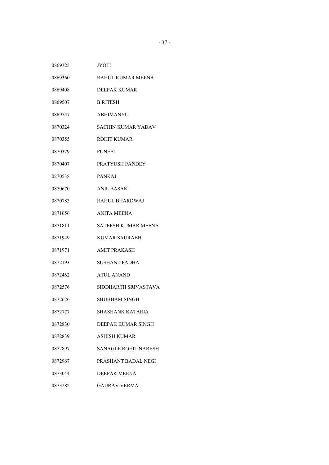- JYOTI
- RAHUL KUMAR MEENA
- DEEPAK KUMAR
- B RITESH
- ABHIMANYU
- SACHIN KUMAR YADAV
- ROHIT KUMAR
- PUNEET
- PRATYUSH PANDEY
- PANKAJ
- ANIL BASAK
- RAHUL BHARDWAJ
- ANITA MEENA
- SATEESH KUMAR MEENA
- KUMAR SAURABH
- AMIT PRAKASH
- SUSHANT PADHA
- ATUL ANAND
- SIDDHARTH SRIVASTAVA
- SHUBHAM SINGH
- SHASHANK KATARIA
- DEEPAK KUMAR SINGH
- ASHISH KUMAR
- SANAGLE ROHIT NARESH
- PRASHANT BADAL NEGI
- DEEPAK MEENA
- GAURAV VERMA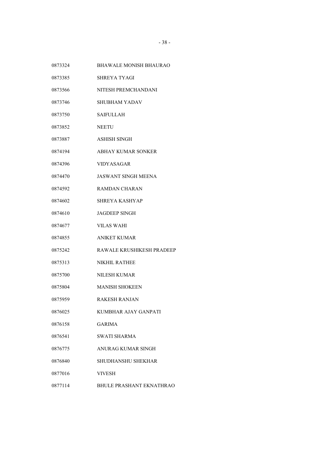- BHAWALE MONISH BHAURAO
- SHREYA TYAGI
- NITESH PREMCHANDANI
- SHUBHAM YADAV
- SAIFULLAH
- NEETU
- ASHISH SINGH
- ABHAY KUMAR SONKER
- VIDYASAGAR
- JASWANT SINGH MEENA
- RAMDAN CHARAN
- SHREYA KASHYAP
- JAGDEEP SINGH
- VILAS WAHI
- ANIKET KUMAR
- RAWALE KRUSHIKESH PRADEEP
- NIKHIL RATHEE
- NILESH KUMAR
- MANISH SHOKEEN
- RAKESH RANJAN
- KUMBHAR AJAY GANPATI
- GARIMA
- SWATI SHARMA
- ANURAG KUMAR SINGH
- SHUDHANSHU SHEKHAR
- VIVESH
- BHULE PRASHANT EKNATHRAO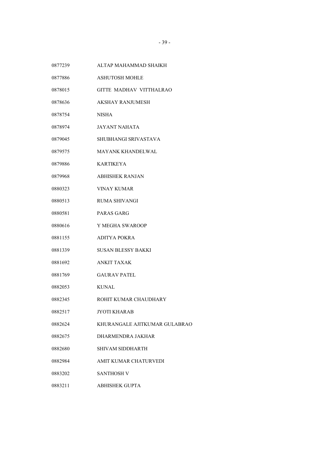- ALTAP MAHAMMAD SHAIKH
- ASHUTOSH MOHLE
- GITTE MADHAV VITTHALRAO
- AKSHAY RANJUMESH
- NISHA
- JAYANT NAHATA
- SHUBHANGI SRIVASTAVA
- MAYANK KHANDELWAL
- KARTIKEYA
- ABHISHEK RANJAN
- VINAY KUMAR
- RUMA SHIVANGI
- PARAS GARG
- Y MEGHA SWAROOP
- ADITYA POKRA
- SUSAN BLESSY BAKKI
- ANKIT TAXAK
- GAURAV PATEL
- KUNAL
- ROHIT KUMAR CHAUDHARY
- JYOTI KHARAB
- KHURANGALE AJITKUMAR GULABRAO
- DHARMENDRA JAKHAR
- SHIVAM SIDDHARTH
- AMIT KUMAR CHATURVEDI
- SANTHOSH V
- ABHISHEK GUPTA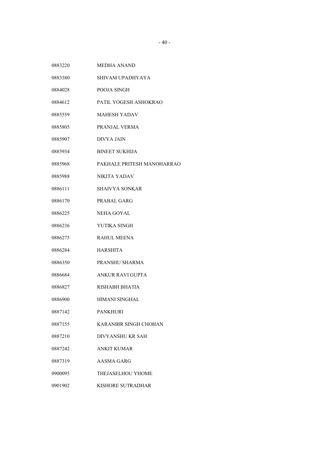- SHIVAM UPADHYAYA
- POOJA SINGH
- PATIL YOGESH ASHOKRAO
- MAHESH YADAV
- PRANJAL VERMA
- DIVYA JAIN
- BINEET SUKHIJA
- PAKHALE PRITESH MANOHARRAO
- NIKITA YADAV
- SHAIVYA SONKAR
- PRABAL GARG
- NEHA GOYAL
- YUTIKA SINGH
- RAHUL MEENA
- HARSHITA
- PRANSHU SHARMA
- ANKUR RAVI GUPTA
- RISHABH BHATIA
- HIMANI SINGHAL
- PANKHURI
- KARANBIR SINGH CHOHAN
- DIVYANSHU KR SAH
- ANKIT KUMAR
- AASMA GARG
- THEJASELHOU YHOME
- KISHORE SUTRADHAR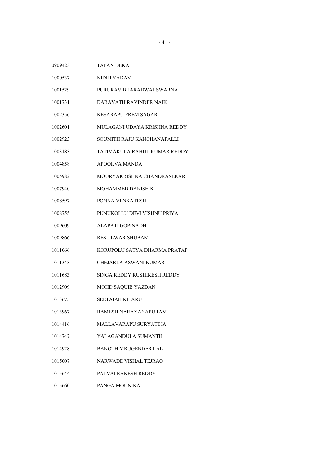| TAPAN DEKA                   |
|------------------------------|
| NIDHI YADAV                  |
| PURURAV BHARADWAJ SWARNA     |
| DARAVATH RAVINDER NAIK       |
| <b>KESARAPU PREM SAGAR</b>   |
| MULAGANI UDAYA KRISHNA REDDY |
| SOUMITH RAJU KANCHANAPALLI   |
| TATIMAKULA RAHUL KUMAR REDDY |
| APOORVA MANDA                |
| MOURYAKRISHNA CHANDRASEKAR   |
| MOHAMMED DANISH K            |
| PONNA VENKATESH              |
| PUNUKOLLU DEVI VISHNU PRIYA  |
| ALAPATI GOPINADH             |
| REKULWAR SHUBAM              |
| KORUPOLU SATYA DHARMA PRATAP |
| CHEJARLA ASWANI KUMAR        |
| SINGA REDDY RUSHIKESH REDDY  |
| MOHD SAQUIB YAZDAN           |
| <b>SEETAIAH KILARU</b>       |
| RAMESH NARAYANAPURAM         |
| MALLAVARAPU SURYATEJA        |
| YALAGANDULA SUMANTH          |
| <b>BANOTH MRUGENDER LAL</b>  |
| <b>NARWADE VISHAL TEJRAO</b> |
| <b>PALVAI RAKESH REDDY</b>   |
| PANGA MOUNIKA                |
|                              |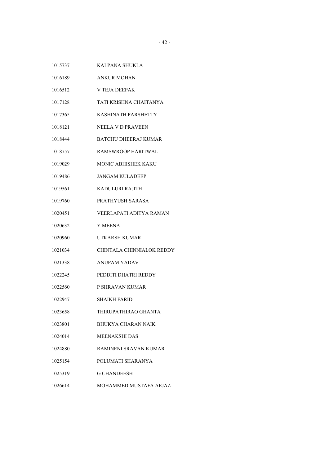- KALPANA SHUKLA
- ANKUR MOHAN
- V TEJA DEEPAK
- TATI KRISHNA CHAITANYA
- KASHINATH PARSHETTY
- NEELA V D PRAVEEN
- BATCHU DHEERAJ KUMAR
- RAMSWROOP HARITWAL
- MONIC ABHISHEK KAKU
- JANGAM KULADEEP
- KADULURI RAJITH
- PRATHYUSH SARASA
- VEERLAPATI ADITYA RAMAN
- Y MEENA
- UTKARSH KUMAR
- CHINTALA CHINNIALOK REDDY
- ANUPAM YADAV
- PEDDITI DHATRI REDDY
- P SHRAVAN KUMAR
- SHAIKH FARID
- THIRUPATHIRAO GHANTA
- BHUKYA CHARAN NAIK
- MEENAKSHI DAS
- RAMINENI SRAVAN KUMAR
- POLUMATI SHARANYA
- G CHANDEESH
- MOHAMMED MUSTAFA AEJAZ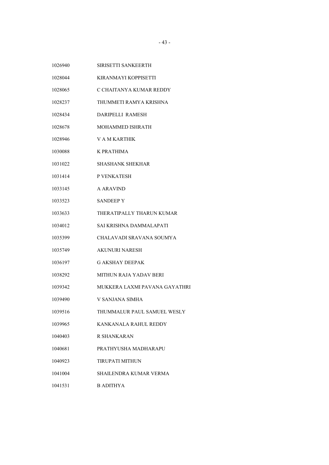| 1026940 | SIRISETTI SANKEERTH           |
|---------|-------------------------------|
| 1028044 | KIRANMAYI KOPPISETTI          |
| 1028065 | C CHAITANYA KUMAR REDDY       |
| 1028237 | THUMMETI RAMYA KRISHNA        |
| 1028434 | <b>DARIPELLI RAMESH</b>       |
| 1028678 | <b>MOHAMMED ISHRATH</b>       |
| 1028946 | V A M KARTHIK                 |
| 1030088 | K PRATHIMA                    |
| 1031022 | <b>SHASHANK SHEKHAR</b>       |
| 1031414 | P VENKATESH                   |
| 1033145 | A ARAVIND                     |
| 1033523 | <b>SANDEEP Y</b>              |
| 1033633 | THERATIPALLY THARUN KUMAR     |
| 1034012 | SAI KRISHNA DAMMALAPATI       |
| 1035399 | CHALAVADI SRAVANA SOUMYA      |
| 1035749 | <b>AKUNURI NARESH</b>         |
| 1036197 | <b>G AKSHAY DEEPAK</b>        |
| 1038292 | <b>MITHUN RAJA YADAV BERI</b> |
| 1039342 | MUKKERA LAXMI PAVANA GAYATHRI |
| 1039490 | V SANJANA SIMHA               |
| 1039516 | THUMMALUR PAUL SAMUEL WESLY   |
| 1039965 | KANKANALA RAHUL REDDY         |
| 1040403 | R SHANKARAN                   |
| 1040681 | PRATHYUSHA MADHARAPU          |
| 1040923 | <b>TIRUPATI MITHUN</b>        |
| 1041004 | SHAILENDRA KUMAR VERMA        |
| 1041531 | <b>B ADITHYA</b>              |
|         |                               |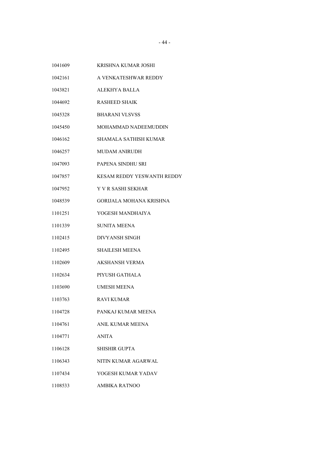- KRISHNA KUMAR JOSHI
- A VENKATESHWAR REDDY
- ALEKHYA BALLA
- RASHEED SHAIK
- BHARANI VLSVSS
- MOHAMMAD NADEEMUDDIN
- SHAMALA SATHISH KUMAR
- MUDAM ANIRUDH
- PAPENA SINDHU SRI
- KESAM REDDY YESWANTH REDDY
- Y V R SASHI SEKHAR
- GORIJALA MOHANA KRISHNA
- YOGESH MANDHAIYA
- SUNITA MEENA
- DIVYANSH SINGH
- SHAILESH MEENA
- AKSHANSH VERMA
- PIYUSH GATHALA
- UMESH MEENA
- RAVI KUMAR
- PANKAJ KUMAR MEENA
- ANIL KUMAR MEENA
- ANITA
- SHISHIR GUPTA
- NITIN KUMAR AGARWAL
- YOGESH KUMAR YADAV
- AMBIKA RATNOO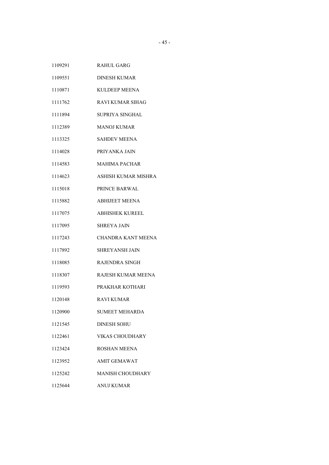- DINESH KUMAR
- KULDEEP MEENA
- RAVI KUMAR SIHAG
- SUPRIYA SINGHAL
- MANOJ KUMAR
- SAHDEV MEENA
- PRIYANKA JAIN
- MAHIMA PACHAR
- ASHISH KUMAR MISHRA
- PRINCE BARWAL
- ABHIJEET MEENA
- ABHISHEK KUREEL
- SHREYA JAIN
- CHANDRA KANT MEENA
- SHREYANSH JAIN
- RAJENDRA SINGH
- RAJESH KUMAR MEENA
- PRAKHAR KOTHARI
- RAVI KUMAR
- SUMEET MEHARDA
- DINESH SOHU
- VIKAS CHOUDHARY
- ROSHAN MEENA
- AMIT GEMAWAT
- MANISH CHOUDHARY
- ANUJ KUMAR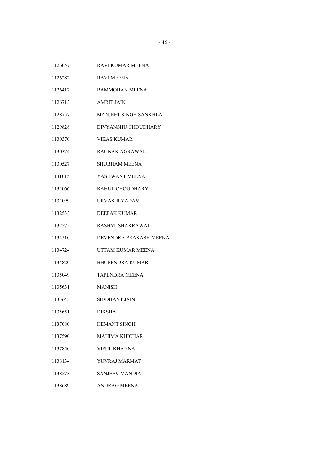- RAVI KUMAR MEENA
- RAVI MEENA
- RAMMOHAN MEENA
- AMRIT JAIN
- MANJEET SINGH SANKHLA
- DIVYANSHU CHOUDHARY
- VIKAS KUMAR
- RAUNAK AGRAWAL
- SHUBHAM MEENA
- YASHWANT MEENA
- RAHUL CHOUDHARY
- URVASHI YADAV
- DEEPAK KUMAR
- RASHMI SHAKRAWAL
- DEVENDRA PRAKASH MEENA
- UTTAM KUMAR MEENA
- BHUPENDRA KUMAR
- TAPENDRA MEENA
- MANISH
- SIDDHANT JAIN
- DIKSHA
- HEMANT SINGH
- MAHIMA KHICHAR
- VIPUL KHANNA
- YUVRAJ MARMAT
- SANJEEV MANDIA
- ANURAG MEENA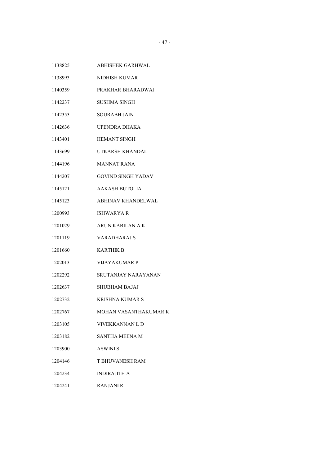- ABHISHEK GARHWAL
- NIDHISH KUMAR
- PRAKHAR BHARADWAJ
- SUSHMA SINGH
- SOURABH JAIN
- UPENDRA DHAKA
- HEMANT SINGH
- UTKARSH KHANDAL
- MANNAT RANA
- GOVIND SINGH YADAV
- AAKASH BUTOLIA
- ABHINAV KHANDELWAL
- ISHWARYA R
- ARUN KABILAN A K
- VARADHARAJ S
- KARTHIK B
- VIJAYAKUMAR P
- SRUTANJAY NARAYANAN
- SHUBHAM BAJAJ
- KRISHNA KUMAR S
- MOHAN VASANTHAKUMAR K
- VIVEKKANNAN L D
- SANTHA MEENA M
- ASWINI S
- T BHUVANESH RAM
- INDIRAJITH A
- RANJANI R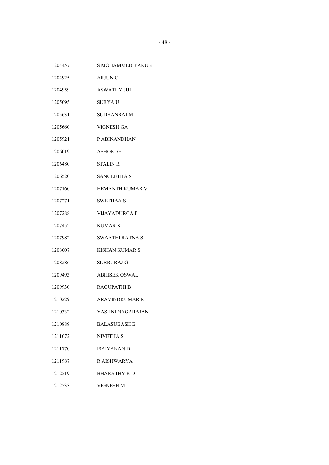- S MOHAMMED YAKUB
- ARJUN C
- ASWATHY JIJI
- SURYA U
- SUDHANRAJ M
- VIGNESH GA
- P ABINANDHAN
- ASHOK G
- STALIN R
- SANGEETHA S
- HEMANTH KUMAR V
- SWETHAA S
- VIJAYADURGA P
- KUMAR K
- SWAATHI RATNA S
- KISHAN KUMAR S
- SUBBURAJ G
- ABHISEK OSWAL
- RAGUPATHI B
- ARAVINDKUMAR R
- YASHNI NAGARAJAN
- BALASUBASH B
- NIVETHA S
- ISAIVANAN D
- R AISHWARYA
- BHARATHY R D
- VIGNESH M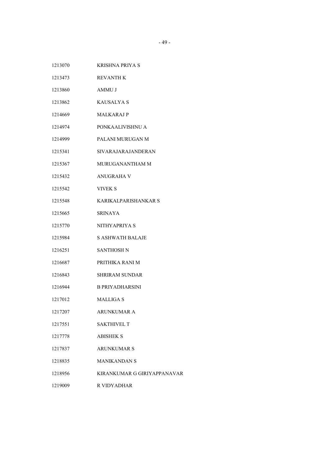- KRISHNA PRIYA S
- REVANTH K
- AMMU J
- KAUSALYA S
- MALKARAJ P
- PONKAALIVISHNU A
- PALANI MURUGAN M
- SIVARAJARAJANDERAN
- MURUGANANTHAM M
- ANUGRAHA V
- VIVEK S
- KARIKALPARISHANKAR S
- SRINAYA
- NITHYAPRIYA S
- S ASHWATH BALAJE
- SANTHOSH N
- PRITHIKA RANI M
- SHRIRAM SUNDAR
- B PRIYADHARSINI
- MALLIGA S
- ARUNKUMAR A
- SAKTHIVEL T
- ABISHEK S
- ARUNKUMAR S
- MANIKANDAN S
- KIRANKUMAR G GIRIYAPPANAVAR
- R VIDYADHAR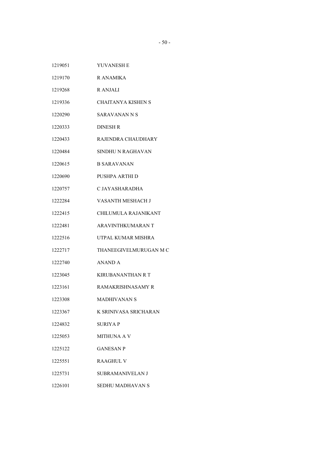| 1219051<br>YUVANESH E |  |
|-----------------------|--|
|-----------------------|--|

- R ANAMIKA
- R ANJALI
- CHAITANYA KISHEN S
- SARAVANAN N S
- DINESH R
- RAJENDRA CHAUDHARY
- SINDHU N RAGHAVAN
- B SARAVANAN
- PUSHPA ARTHI D
- C JAYASHARADHA
- VASANTH MESHACH J
- CHILUMULA RAJANIKANT
- ARAVINTHKUMARAN T
- UTPAL KUMAR MISHRA
- THANEEGIVELMURUGAN M C
- ANAND A
- KIRUBANANTHAN R T
- RAMAKRISHNASAMY R
- MADHIVANAN S
- K SRINIVASA SRICHARAN
- SURIYA P
- MITHUNA A V
- GANESAN P
- RAAGHUL V
- SUBRAMANIVELAN J
- SEDHU MADHAVAN S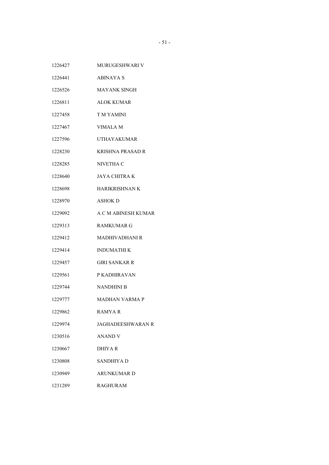- MURUGESHWARI V
- ABINAYA S
- MAYANK SINGH
- ALOK KUMAR
- T M YAMINI
- VIMALA M
- UTHAYAKUMAR
- KRISHNA PRASAD R
- NIVETHA C
- JAYA CHITRA K
- HARIKRISHNAN K
- ASHOK D
- A C M ABINESH KUMAR
- RAMKUMAR G
- MADHIVADHANI R
- INDUMATHI K
- GIRI SANKAR R
- P KADHIRAVAN
- NANDHINI B
- MADHAN VARMA P
- RAMYA R
- JAGHADEESHWARAN R
- ANAND V
- DHIYA R
- SANDHIYA D
- ARUNKUMAR D
- RAGHURAM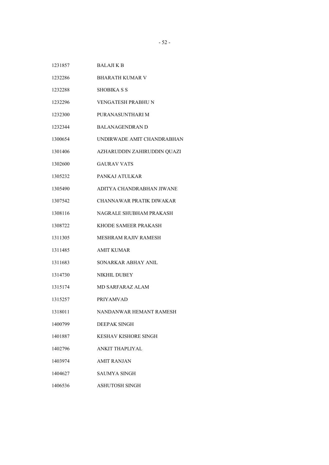- BHARATH KUMAR V
- SHOBIKA S S
- VENGATESH PRABHU N
- PURANASUNTHARI M
- BALANAGENDRAN D
- UNDIRWADE AMIT CHANDRABHAN
- AZHARUDDIN ZAHIRUDDIN QUAZI
- GAURAV VATS
- PANKAJ ATULKAR
- ADITYA CHANDRABHAN JIWANE
- CHANNAWAR PRATIK DIWAKAR
- NAGRALE SHUBHAM PRAKASH
- KHODE SAMEER PRAKASH
- MESHRAM RAJIV RAMESH
- AMIT KUMAR
- SONARKAR ABHAY ANIL
- NIKHIL DUBEY
- MD SARFARAZ ALAM
- PRIYAMVAD
- NANDANWAR HEMANT RAMESH
- DEEPAK SINGH
- KESHAV KISHORE SINGH
- ANKIT THAPLIYAL
- AMIT RANJAN
- SAUMYA SINGH
- ASHUTOSH SINGH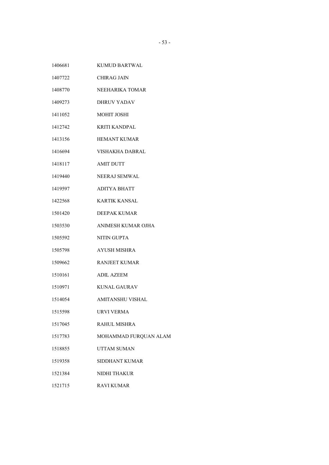| 1406681 | KUMUD BARTWAL |
|---------|---------------|
|         |               |

- CHIRAG JAIN
- NEEHARIKA TOMAR
- DHRUV YADAV
- MOHIT JOSHI
- KRITI KANDPAL
- HEMANT KUMAR
- VISHAKHA DABRAL
- AMIT DUTT
- NEERAJ SEMWAL
- ADITYA BHATT
- KARTIK KANSAL
- DEEPAK KUMAR
- ANIMESH KUMAR OJHA
- NITIN GUPTA
- AYUSH MISHRA
- RANJEET KUMAR
- ADIL AZEEM
- KUNAL GAURAV
- AMITANSHU VISHAL
- URVI VERMA
- RAHUL MISHRA
- MOHAMMAD FURQUAN ALAM
- UTTAM SUMAN
- SIDDHANT KUMAR
- NIDHI THAKUR
- RAVI KUMAR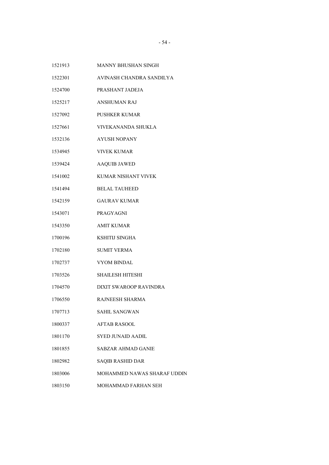- MANNY BHUSHAN SINGH
- AVINASH CHANDRA SANDILYA
- PRASHANT JADEJA
- ANSHUMAN RAJ
- PUSHKER KUMAR
- VIVEKANANDA SHUKLA
- AYUSH NOPANY
- VIVEK KUMAR
- AAQUIB JAWED
- KUMAR NISHANT VIVEK
- BELAL TAUHEED
- GAURAV KUMAR
- PRAGYAGNI
- AMIT KUMAR
- KSHITIJ SINGHA
- SUMIT VERMA
- VYOM BINDAL
- SHAILESH HITESHI
- DIXIT SWAROOP RAVINDRA
- RAJNEESH SHARMA
- SAHIL SANGWAN
- AFTAB RASOOL
- SYED JUNAID AADIL
- SABZAR AHMAD GANIE
- SAQIB RASHID DAR
- MOHAMMED NAWAS SHARAF UDDIN
- MOHAMMAD FARHAN SEH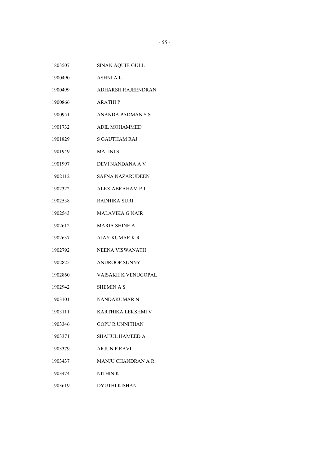| 1803507 | <b>SINAN AQUIB GULL</b>    |
|---------|----------------------------|
| 1900490 | <b>ASHNI A L</b>           |
| 1900499 | ADHARSH RAJEENDRAN         |
| 1900866 | <b>ARATHIP</b>             |
| 1900951 | ANANDA PADMAN S S          |
| 1901732 | <b>ADIL MOHAMMED</b>       |
| 1901829 | <b>S GAUTHAM RAJ</b>       |
| 1901949 | <b>MALINIS</b>             |
| 1901997 | DEVI NANDANA A V           |
| 1902112 | <b>SAFNA NAZARUDEEN</b>    |
| 1902322 | ALEX ABRAHAM P J           |
| 1902538 | RADHIKA SURI               |
| 1902543 | MALAVIKA G NAIR            |
| 1902612 | <b>MARIA SHINE A</b>       |
| 1902637 | <b>AJAY KUMAR K R</b>      |
| 1902792 | <b>NEENA VISWANATH</b>     |
| 1902825 | <b>ANUROOP SUNNY</b>       |
| 1902860 | <b>VAISAKH K VENUGOPAL</b> |
| 1902942 | <b>SHEMIN A S</b>          |
| 1903101 | NANDAKUMAR N               |
| 1903111 | KARTHIKA LEKSHMI V         |
| 1903346 | GOPU R UNNITHAN            |
| 1903371 | <b>SHAHUL HAMEED A</b>     |
| 1903379 | <b>ARJUN P RAVI</b>        |
| 1903437 | <b>MANJU CHANDRAN A R</b>  |
| 1903474 | NITHIN K                   |
| 1903619 | <b>DYUTHI KISHAN</b>       |
|         |                            |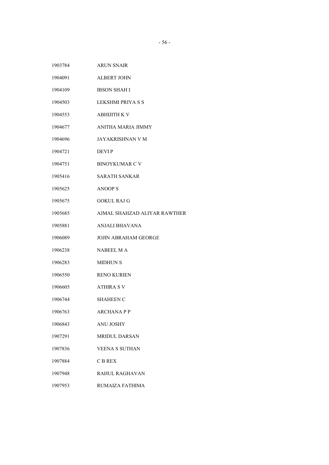- ALBERT JOHN
- IBSON SHAH I
- LEKSHMI PRIYA S S
- ABHIJITH K V
- ANITHA MARIA JIMMY
- JAYAKRISHNAN V M
- DEVI P
- BINOYKUMAR C V
- SARATH SANKAR
- ANOOP S
- GOKUL RAJ G
- AJMAL SHAHZAD ALIYAR RAWTHER
- ANJALI BHAVANA
- JOJIN ABRAHAM GEORGE
- NABEEL M A
- MIDHUN S
- RENO KURIEN
- ATHIRA S V
- SHAHEEN C
- ARCHANA P P
- ANU JOSHY
- MRIDUL DARSAN
- VEENA S SUTHAN
- C B REX
- RAHUL RAGHAVAN
- RUMAIZA FATHIMA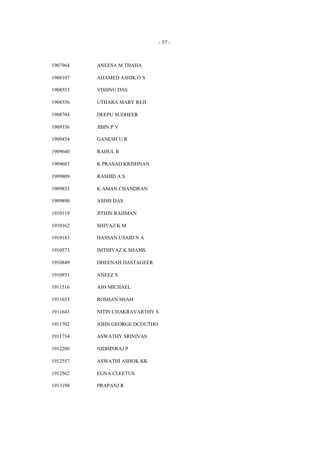| ANEESA M THAHA           |
|--------------------------|
| AHAMED ASHIK O S         |
| <b>VISHNU DAS</b>        |
| UTHARA MARY REJI         |
| <b>DEEPU SUDHEER</b>     |
| <b>JIBIN P V</b>         |
| <b>GANESH U R</b>        |
| <b>RAHUL R</b>           |
| <b>K PRASAD KRISHNAN</b> |
| <b>RASHID A S</b>        |
| K AMAN CHANDRAN          |
| <b>ASISH DAS</b>         |
| <b>JITHIN RAHMAN</b>     |
| <b>SHIYAZ KM</b>         |
| <b>HASSAN USAID N A</b>  |
| <b>IMTHIYAZ K SHAMS</b>  |
| <b>DHEENAH DASTAGEER</b> |
| <b>ANEEZ S</b>           |
| <b>AJO MICHAEL</b>       |
| ROSHAN SHAH              |
| NITIN CHAKRAVARTHY S     |
| JOHN GEORGE DCOUTHO      |
| <b>ASWATHY SRINIVAS</b>  |
| NIDHINRAJ P              |
| <b>ASWATHI ASHOK KK</b>  |
| <b>EGNA CLEETUS</b>      |
| PRAPANJ R                |
|                          |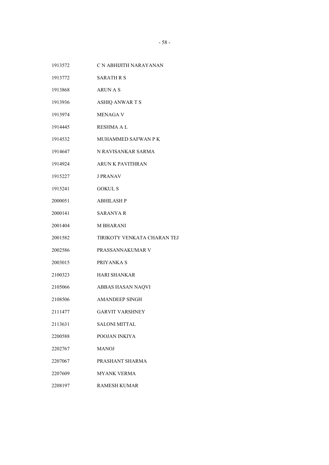- C N ABHIJITH NARAYANAN
- SARATH R S
- ARUN A S
- ASHIQ ANWAR T S
- MENAGA V
- RESHMA A L
- MUHAMMED SAFWAN P K
- N RAVISANKAR SARMA
- ARUN K PAVITHRAN
- J PRANAV
- GOKUL S
- ABHILASH P
- SARANYA R
- M BHARANI
- TIRIKOTY VENKATA CHARAN TEJ
- PRASSANNAKUMAR V
- PRIYANKA S
- HARI SHANKAR
- ABBAS HASAN NAQVI
- AMANDEEP SINGH
- GARVIT VARSHNEY
- SALONI MITTAL
- POOJAN INKIYA
- MANOJ
- PRASHANT SHARMA
- MYANK VERMA
- RAMESH KUMAR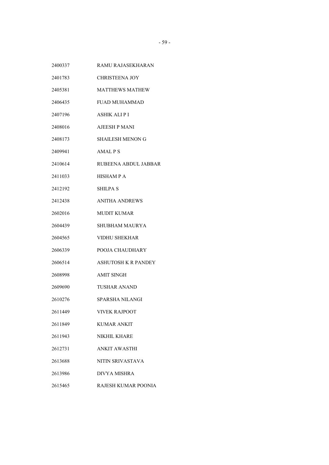- RAMU RAJASEKHARAN
- CHRISTEENA JOY
- MATTHEWS MATHEW
- FUAD MUHAMMAD
- ASHIK ALI P I
- AJEESH P MANI
- SHAILESH MENON G
- AMAL P S
- RUBEENA ABDUL JABBAR
- HISHAM P A
- SHILPA S
- ANITHA ANDREWS
- MUDIT KUMAR
- SHUBHAM MAURYA
- VIDHU SHEKHAR
- POOJA CHAUDHARY
- ASHUTOSH K R PANDEY
- AMIT SINGH
- TUSHAR ANAND
- SPARSHA NILANGI
- VIVEK RAJPOOT
- KUMAR ANKIT
- NIKHIL KHARE
- ANKIT AWASTHI
- NITIN SRIVASTAVA
- DIVYA MISHRA
- RAJESH KUMAR POONIA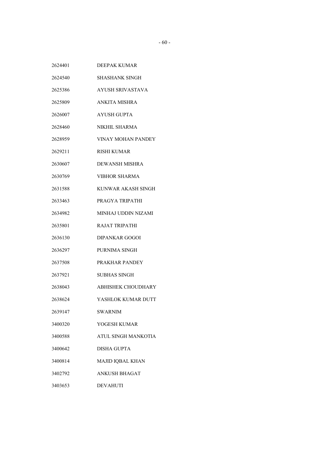| 2624401 | DEEPAK KUMAR              |
|---------|---------------------------|
| 2624540 | SHASHANK SINGH            |
| 2625386 | <b>AYUSH SRIVASTAVA</b>   |
| 2625809 | ANKITA MISHRA             |
| 2626007 | AYUSH GUPTA               |
| 2628460 | NIKHIL SHARMA             |
| 2628959 | VINAY MOHAN PANDEY        |
| 2629211 | <b>RISHI KUMAR</b>        |
| 2630607 | DEWANSH MISHRA            |
| 2630769 | <b>VIBHOR SHARMA</b>      |
| 2631588 | KUNWAR AKASH SINGH        |
| 2633463 | PRAGYA TRIPATHI           |
| 2634982 | MINHAJ UDDIN NIZAMI       |
| 2635801 | <b>RAJAT TRIPATHI</b>     |
| 2636130 | <b>DIPANKAR GOGOI</b>     |
| 2636297 | PURNIMA SINGH             |
| 2637508 | PRAKHAR PANDEY            |
| 2637921 | SUBHAS SINGH              |
| 2638043 | <b>ABHISHEK CHOUDHARY</b> |
| 2638624 | YASHLOK KUMAR DUTT        |
| 2639147 | <b>SWARNIM</b>            |
| 3400320 | YOGESH KUMAR              |
| 3400588 | ATUL SINGH MANKOTIA       |
| 3400642 | <b>DISHA GUPTA</b>        |
| 3400814 | MAJID IQBAL KHAN          |
| 3402792 | ANKUSH BHAGAT             |
| 3403653 | <b>DEVAHUTI</b>           |
|         |                           |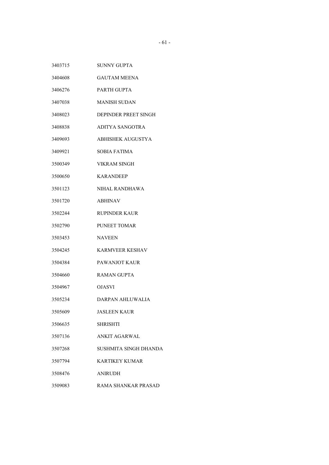| 3403715 | SUNNY GUPTA            |
|---------|------------------------|
| 3404608 | <b>GAUTAM MEENA</b>    |
| 3406276 | PARTH GUPTA            |
| 3407038 | <b>MANISH SUDAN</b>    |
| 3408023 | DEPINDER PREET SINGH   |
| 3408838 | ADITYA SANGOTRA        |
| 3409693 | ABHISHEK AUGUSTYA      |
| 3409921 | SOBIA FATIMA           |
| 3500349 | <b>VIKRAM SINGH</b>    |
| 3500650 | <b>KARANDEEP</b>       |
| 3501123 | NIHAL RANDHAWA         |
| 3501720 | <b>ABHINAV</b>         |
| 3502244 | RUPINDER KAUR          |
| 3502790 | <b>PUNEET TOMAR</b>    |
| 3503453 | <b>NAVEEN</b>          |
| 3504245 | <b>KARMVEER KESHAV</b> |
| 3504384 | PAWANJOT KAUR          |
| 3504660 | <b>RAMAN GUPTA</b>     |
| 3504967 | <b>OJASVI</b>          |
| 3505234 | DARPAN AHLUWALIA       |
| 3505609 | <b>JASLEEN KAUR</b>    |
| 3506635 | SHRISHTI               |
| 3507136 | ANKIT AGARWAL          |
| 3507268 | SUSHMITA SINGH DHANDA  |
| 3507794 | KARTIKEY KUMAR         |
| 3508476 | <b>ANIRUDH</b>         |
| 3509083 | RAMA SHANKAR PRASAD    |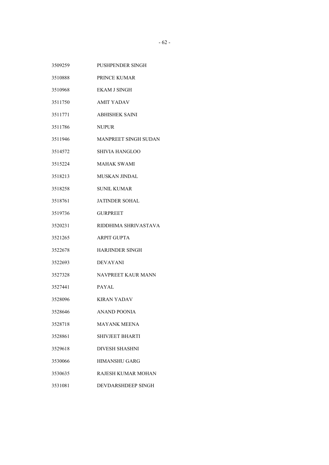| 3509259 | <b>PUSHPENDER SINGH</b> |
|---------|-------------------------|
| 3510888 | PRINCE KUMAR            |
| 3510968 | <b>EKAM J SINGH</b>     |
| 3511750 | <b>AMIT YADAV</b>       |
| 3511771 | <b>ABHISHEK SAINI</b>   |
| 3511786 | <b>NUPUR</b>            |
| 3511946 | MANPREET SINGH SUDAN    |
| 3514572 | <b>SHIVIA HANGLOO</b>   |
| 3515224 | <b>MAHAK SWAMI</b>      |
| 3518213 | <b>MUSKAN JINDAL</b>    |
| 3518258 | <b>SUNIL KUMAR</b>      |
| 3518761 | <b>JATINDER SOHAL</b>   |
| 3519736 | GURPREET                |
| 3520231 | RIDDHIMA SHRIVASTAVA    |
| 3521265 | <b>ARPIT GUPTA</b>      |
| 3522678 | <b>HARJINDER SINGH</b>  |
| 3522693 | <b>DEVAYANI</b>         |
| 3527328 | NAVPREET KAUR MANN      |
| 3527441 | <b>PAYAL</b>            |
| 3528096 | <b>KIRAN YADAV</b>      |
| 3528646 | <b>ANAND POONIA</b>     |
| 3528718 | <b>MAYANK MEENA</b>     |
| 3528861 | <b>SHIVJEET BHARTI</b>  |
| 3529618 | <b>DIVESH SHASHNI</b>   |
| 3530066 | <b>HIMANSHU GARG</b>    |
| 3530635 | RAJESH KUMAR MOHAN      |
| 3531081 | DEVDARSHDEEP SINGH      |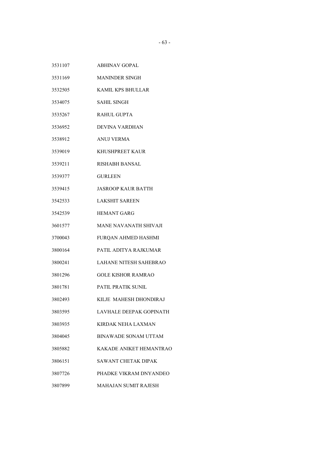- ABHINAV GOPAL
- MANINDER SINGH
- KAMIL KPS BHULLAR
- SAHIL SINGH
- RAHUL GUPTA
- DEVINA VARDHAN
- ANUJ VERMA
- KHUSHPREET KAUR
- RISHABH BANSAL
- GURLEEN
- JASROOP KAUR BATTH
- LAKSHIT SAREEN
- HEMANT GARG
- MANE NAVANATH SHIVAJI
- FURQAN AHMED HASHMI
- PATIL ADITYA RAJKUMAR
- LAHANE NITESH SAHEBRAO
- GOLE KISHOR RAMRAO
- PATIL PRATIK SUNIL
- KILJE MAHESH DHONDIRAJ
- LAVHALE DEEPAK GOPINATH
- KIRDAK NEHA LAXMAN
- BINAWADE SONAM UTTAM
- KAKADE ANIKET HEMANTRAO
- SAWANT CHETAK DIPAK
- PHADKE VIKRAM DNYANDEO
- MAHAJAN SUMIT RAJESH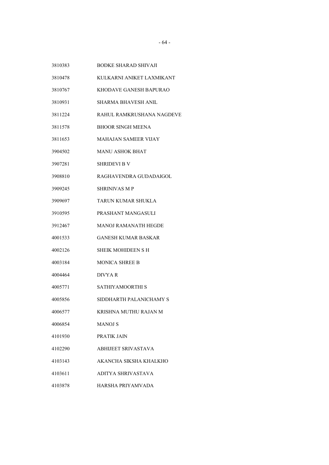BODKE SHARAD SHIVAJI

- KULKARNI ANIKET LAXMIKANT
- KHODAVE GANESH BAPURAO
- SHARMA BHAVESH ANIL
- RAHUL RAMKRUSHANA NAGDEVE
- BHOOR SINGH MEENA
- MAHAJAN SAMEER VIJAY
- MANU ASHOK BHAT
- SHRIDEVI B V
- RAGHAVENDRA GUDADAIGOL
- SHRINIVAS M P
- TARUN KUMAR SHUKLA
- PRASHANT MANGASULI
- MANOJ RAMANATH HEGDE
- GANESH KUMAR BASKAR
- SHEIK MOHIDEEN S H
- MONICA SHREE B
- DIVYA R
- SATHIYAMOORTHI S
- SIDDHARTH PALANICHAMY S
- KRISHNA MUTHU RAJAN M
- MANOJ S
- PRATIK JAIN
- ABHIJEET SRIVASTAVA
- AKANCHA SIKSHA KHALKHO
- ADITYA SHRIVASTAVA
- HARSHA PRIYAMVADA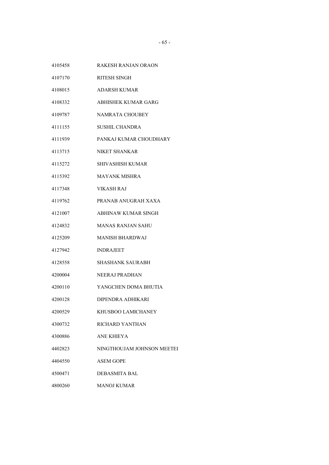- RAKESH RANJAN ORAON
- RITESH SINGH
- ADARSH KUMAR
- ABHISHEK KUMAR GARG
- NAMRATA CHOUBEY
- SUSHIL CHANDRA
- PANKAJ KUMAR CHOUDHARY
- NIKET SHANKAR
- SHIVASHISH KUMAR
- MAYANK MISHRA
- VIKASH RAJ
- PRANAB ANUGRAH XAXA
- ABHINAW KUMAR SINGH
- MANAS RANJAN SAHU
- MANISH BHARDWAJ
- INDRAJEET
- SHASHANK SAURABH
- NEERAJ PRADHAN
- YANGCHEN DOMA BHUTIA
- DIPENDRA ADHIKARI
- KHUSBOO LAMICHANEY
- RICHARD YANTHAN
- ANE KHIEYA
- NINGTHOUJAM JOHNSON MEETEI
- ASEM GOPE
- DEBASMITA BAL
- MANOJ KUMAR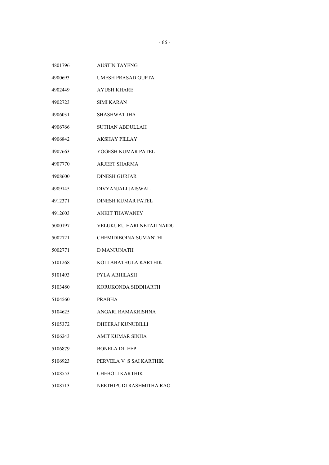- UMESH PRASAD GUPTA
- AYUSH KHARE
- SIMI KARAN
- SHASHWAT JHA
- SUTHAN ABDULLAH
- AKSHAY PILLAY
- YOGESH KUMAR PATEL
- ARJEET SHARMA
- DINESH GURJAR
- DIVYANJALI JAISWAL
- DINESH KUMAR PATEL
- ANKIT THAWANEY
- VELUKURU HARI NETAJI NAIDU
- CHEMIDIBOINA SUMANTHI
- D MANJUNATH
- KOLLABATHULA KARTHIK
- PYLA ABHILASH
- KORUKONDA SIDDHARTH
- PRABHA
- ANGARI RAMAKRISHNA
- DHEERAJ KUNUBILLI
- AMIT KUMAR SINHA
- BONELA DILEEP
- PERVELA V S SAI KARTHIK
- CHEBOLI KARTHIK
- NEETHIPUDI RASHMITHA RAO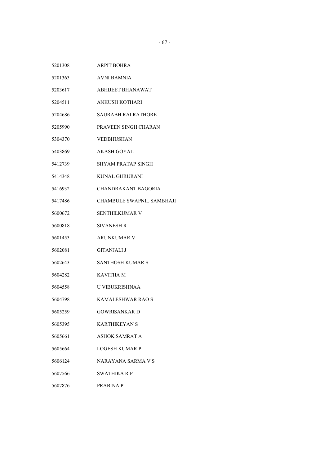| 5201308 | <b>ARPIT BOHRA</b>         |
|---------|----------------------------|
| 5201363 | <b>AVNI BAMNIA</b>         |
| 5203617 | <b>ABHIJEET BHANAWAT</b>   |
| 5204511 | ANKUSH KOTHARI             |
| 5204686 | SAURABH RAI RATHORE        |
| 5205990 | PRAVEEN SINGH CHARAN       |
| 5304370 | VEDBHUSHAN                 |
| 5403869 | AKASH GOYAL                |
| 5412739 | SHYAM PRATAP SINGH         |
| 5414348 | KUNAL GURURANI             |
| 5416932 | <b>CHANDRAKANT BAGORIA</b> |
| 5417486 | CHAMBULE SWAPNIL SAMBHAJI  |
| 5600672 | SENTHILKUMAR V             |
| 5600818 | SIVANESH R                 |
| 5601453 | <b>ARUNKUMAR V</b>         |
| 5602081 | <b>GITANJALI J</b>         |
| 5602643 | SANTHOSH KUMAR S           |
| 5604282 | <b>KAVITHA M</b>           |
| 5604558 | U VIBUKRISHNAA             |
| 5604798 | KAMALESHWAR RAO S          |
| 5605259 | <b>GOWRISANKARD</b>        |
| 5605395 | <b>KARTHIKEYAN S</b>       |
| 5605661 | ASHOK SAMRAT A             |
| 5605664 | <b>LOGESH KUMAR P</b>      |
| 5606124 | NARAYANA SARMA V S         |
| 5607566 | <b>SWATHIKA R P</b>        |
| 5607876 | PRABINA P                  |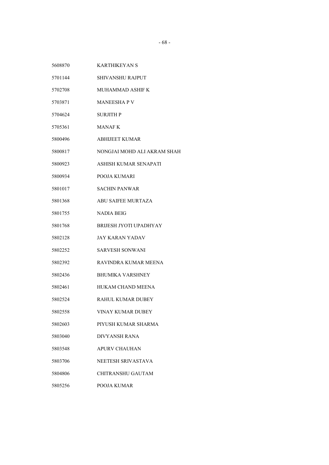- SHIVANSHU RAJPUT
- MUHAMMAD ASHIF K
- MANEESHA P V
- SURJITH P
- MANAF K
- ABHIJEET KUMAR
- NONGJAI MOHD ALI AKRAM SHAH
- ASHISH KUMAR SENAPATI
- POOJA KUMARI
- SACHIN PANWAR
- ABU SAIFEE MURTAZA
- NADIA BEIG
- BRIJESH JYOTI UPADHYAY
- JAY KARAN YADAV
- SARVESH SONWANI
- RAVINDRA KUMAR MEENA
- BHUMIKA VARSHNEY
- HUKAM CHAND MEENA
- RAHUL KUMAR DUBEY
- VINAY KUMAR DUBEY
- PIYUSH KUMAR SHARMA
- DIVYANSH RANA
- APURV CHAUHAN
- NEETESH SRIVASTAVA
- CHITRANSHU GAUTAM
- POOJA KUMAR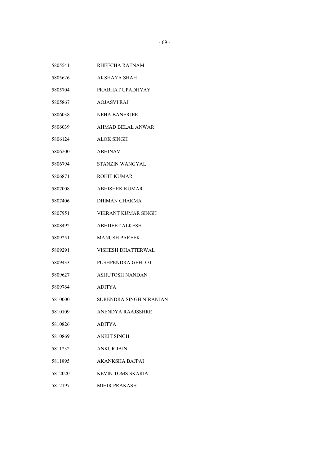RHEECHA RATNAM AKSHAYA SHAH PRABHAT UPADHYAY AOJASVI RAJ NEHA BANERJEE AHMAD BELAL ANWAR ALOK SINGH ABHINAV STANZIN WANGYAL ROHIT KUMAR ABHISHEK KUMAR DHIMAN CHAKMA VIKRANT KUMAR SINGH ABHIJEET ALKESH MANUSH PAREEK VISHESH DHATTERWAL PUSHPENDRA GEHLOT ASHUTOSH NANDAN ADITYA SURENDRA SINGH NIRANJAN ANENDYA RAAJSSHRE ADITYA ANKIT SINGH ANKUR JAIN AKANKSHA BAJPAI KEVIN TOMS SKARIA MIHIR PRAKASH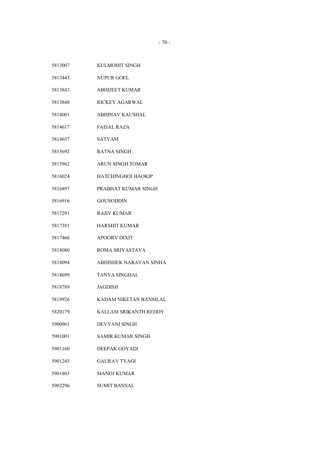| 5813007 | KULMOHIT SINGH            |
|---------|---------------------------|
| 5813443 | NUPUR GOEL                |
| 5813843 | <b>ABHIJEET KUMAR</b>     |
| 5813848 | <b>RICKEY AGARWAL</b>     |
| 5814001 | <b>ABHINAV KAUSHAL</b>    |
| 5814617 | <b>FAISAL RAZA</b>        |
| 5814657 | SATYAM                    |
| 5815692 | RATNA SINGH               |
| 5815962 | <b>ARUN SINGH TOMAR</b>   |
| 5816024 | <b>HATCHINGHOI HAOKIP</b> |
| 5816897 | PRABHAT KUMAR SINGH       |
| 5816916 | <b>GOUSODDIN</b>          |
| 5817291 | <b>RAJIV KUMAR</b>        |
| 5817381 | <b>HARSHIT KUMAR</b>      |
| 5817466 | <b>APOORV DIXIT</b>       |
| 5818080 | ROMA SRIVASTAVA           |
| 5818094 | ABHISHEK NARAYAN SINHA    |
| 5818699 | <b>TANYA SINGHAL</b>      |
| 5818789 | <b>JAGDISH</b>            |
| 5819926 | KADAM NIKETAN BANSILAL    |
| 5820179 | KALLAM SRIKANTH REDDY     |
| 5900961 | DEVYANI SINGH             |
| 5901001 | <b>SAMIR KUMAR SINGH</b>  |
| 5901160 | DEEPAK GOYADI             |
| 5901245 | <b>GAURAV TYAGI</b>       |
| 5901803 | <b>MANOJ KUMAR</b>        |
| 5902296 | <b>SUMIT BANSAL</b>       |
|         |                           |
|         |                           |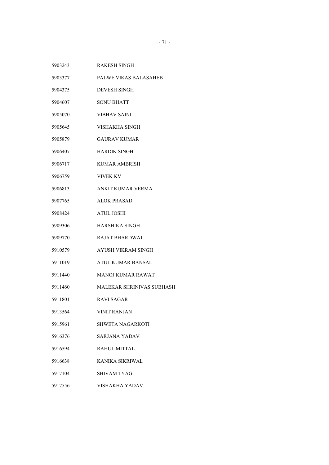- RAKESH SINGH
- PALWE VIKAS BALASAHEB
- DEVESH SINGH
- SONU BHATT
- VIBHAV SAINI
- VISHAKHA SINGH
- GAURAV KUMAR
- HARDIK SINGH
- KUMAR AMBRISH
- VIVEK KV
- ANKIT KUMAR VERMA
- ALOK PRASAD
- ATUL JOSHI
- HARSHIKA SINGH
- RAJAT BHARDWAJ
- AYUSH VIKRAM SINGH
- ATUL KUMAR BANSAL
- MANOJ KUMAR RAWAT
- MALEKAR SHRINIVAS SUBHASH
- RAVI SAGAR
- VINIT RANJAN
- SHWETA NAGARKOTI
- SARJANA YADAV
- RAHUL MITTAL
- KANIKA SIKRIWAL
- SHIVAM TYAGI
- VISHAKHA YADAV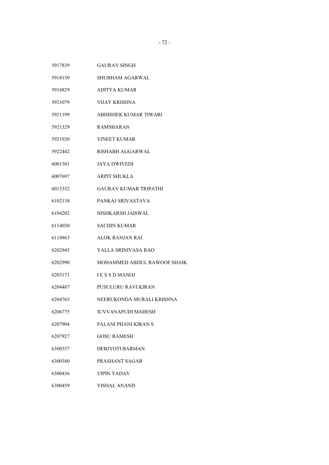- GAURAV SINGH
- SHUBHAM AGARWAL
- ADITYA KUMAR
- VIJAY KRISHNA
- ABHISHEK KUMAR TIWARI
- RAMSHARAN
- VINEET KUMAR
- RISHABH AGGARWAL
- JAYA DWIVEDI
- ARPIT SHUKLA
- GAURAV KUMAR TRIPATHI
- PANKAJ SRIVASTAVA
- NISHKARSH JAISWAL
- SACHIN KUMAR
- ALOK RANJAN RAI
- YALLA SRINIVASA RAO
- MOHAMMED ABDUL RAWOOF SHAIK
- I E S S D MANOJ
- PUSULURU RAVI KIRAN
- NEERUKONDA MURALI KRISHNA
- JUVVANAPUDI MAHESH
- PALANI PHANI KIRAN S
- GOSU RAMESH
- DEBJYOTI BARMAN
- PRASHANT SAGAR
- VIPIN YADAV
- VISHAL ANAND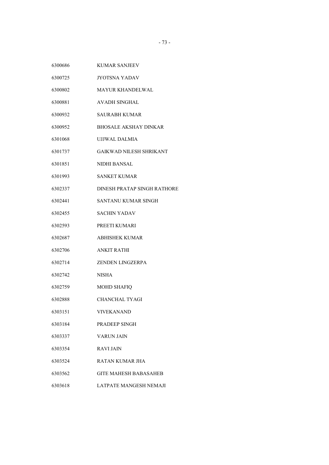| 6300686<br>KUMAR SANJEEV |
|--------------------------|
|--------------------------|

- JYOTSNA YADAV
- MAYUR KHANDELWAL
- AVADH SINGHAL
- SAURABH KUMAR
- BHOSALE AKSHAY DINKAR
- UJJWAL DALMIA
- GAIKWAD NILESH SHRIKANT
- NIDHI BANSAL
- SANKET KUMAR
- DINESH PRATAP SINGH RATHORE
- SANTANU KUMAR SINGH
- SACHIN YADAV
- PREETI KUMARI
- ABHISHEK KUMAR
- ANKIT RATHI
- ZENDEN LINGZERPA
- NISHA
- MOHD SHAFIQ
- CHANCHAL TYAGI
- VIVEKANAND
- PRADEEP SINGH
- VARUN JAIN
- RAVI JAIN
- RATAN KUMAR JHA
- GITE MAHESH BABASAHEB
- LATPATE MANGESH NEMAJI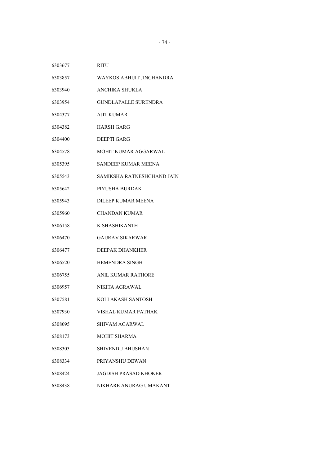- RITU
- WAYKOS ABHIJIT JINCHANDRA
- ANCHIKA SHUKLA
- GUNDLAPALLE SURENDRA
- AJIT KUMAR
- HARSH GARG
- DEEPTI GARG
- MOHIT KUMAR AGGARWAL
- SANDEEP KUMAR MEENA
- SAMIKSHA RATNESHCHAND JAIN
- PIYUSHA BURDAK
- DILEEP KUMAR MEENA
- CHANDAN KUMAR
- K SHASHIKANTH
- GAURAV SIKARWAR
- DEEPAK DHANKHER
- HEMENDRA SINGH
- ANIL KUMAR RATHORE
- NIKITA AGRAWAL
- KOLI AKASH SANTOSH
- VISHAL KUMAR PATHAK
- SHIVAM AGARWAL
- MOHIT SHARMA
- SHIVENDU BHUSHAN
- PRIYANSHU DEWAN
- JAGDISH PRASAD KHOKER
- NIKHARE ANURAG UMAKANT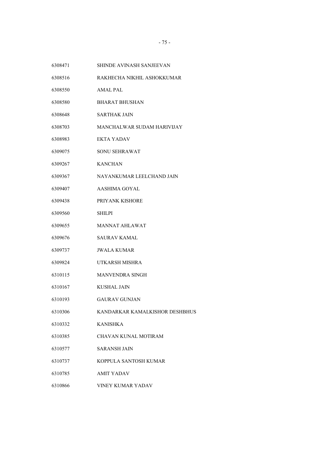- SHINDE AVINASH SANJEEVAN
- RAKHECHA NIKHIL ASHOKKUMAR
- AMAL PAL
- BHARAT BHUSHAN
- SARTHAK JAIN
- MANCHALWAR SUDAM HARIVIJAY
- EKTA YADAV
- SONU SEHRAWAT
- KANCHAN
- NAYANKUMAR LEELCHAND JAIN
- AASHIMA GOYAL
- PRIYANK KISHORE
- SHILPI
- MANNAT AHLAWAT
- SAURAV KAMAL
- JWALA KUMAR
- UTKARSH MISHRA
- MANVENDRA SINGH
- KUSHAL JAIN
- GAURAV GUNJAN
- KANDARKAR KAMALKISHOR DESHBHUS
- KANISHKA
- CHAVAN KUNAL MOTIRAM
- SARANSH JAIN
- KOPPULA SANTOSH KUMAR
- AMIT YADAV
- VINEY KUMAR YADAV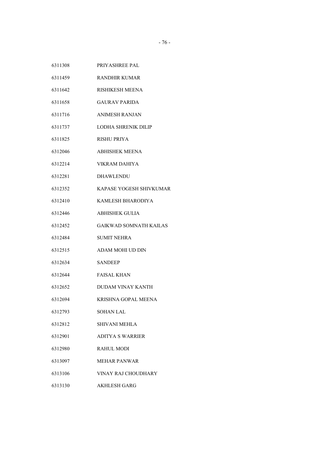| 6311308 | PRIYASHREE PAL |
|---------|----------------|
|         |                |

- RANDHIR KUMAR
- RISHIKESH MEENA
- GAURAV PARIDA
- ANIMESH RANJAN
- LODHA SHRENIK DILIP
- RISHU PRIYA
- ABHISHEK MEENA
- VIKRAM DAHIYA
- DHAWLENDU
- KAPASE YOGESH SHIVKUMAR
- KAMLESH BHARODIYA
- ABHISHEK GULIA
- GAIKWAD SOMNATH KAILAS
- SUMIT NEHRA
- ADAM MOHI UD DIN
- SANDEEP
- FAISAL KHAN
- DUDAM VINAY KANTH
- KRISHNA GOPAL MEENA
- SOHAN LAL
- SHIVANI MEHLA
- ADITYA S WARRIER
- RAHUL MODI
- MEHAR PANWAR
- VINAY RAJ CHOUDHARY
- AKHLESH GARG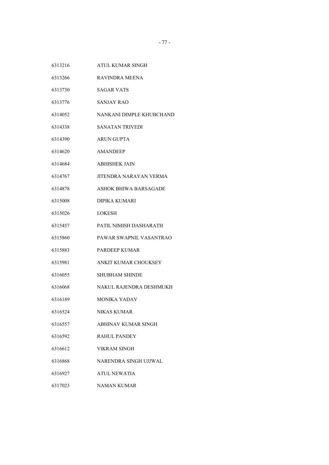- ATUL KUMAR SINGH
- RAVINDRA MEENA
- SAGAR VATS
- SANJAY RAO
- NANKANI DIMPLE KHUBCHAND
- SANATAN TRIVEDI
- ARUN GUPTA
- AMANDEEP
- ABHISHEK JAIN
- JITENDRA NARAYAN VERMA
- ASHOK BHIWA BARSAGADE
- DIPIKA KUMARI
- LOKESH
- PATIL NIMISH DASHARATH
- PAWAR SWAPNIL VASANTRAO
- PARDEEP KUMAR
- ANKIT KUMAR CHOUKSEY
- SHUBHAM SHINDE
- NAKUL RAJENDRA DESHMUKH
- MONIKA YADAV
- NIKAS KUMAR
- ABHINAV KUMAR SINGH
- RAHUL PANDEY
- VIKRAM SINGH
- NARENDRA SINGH UJJWAL
- ATUL NEWATIA
- NAMAN KUMAR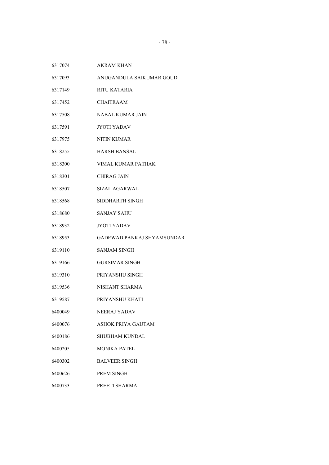- AKRAM KHAN
- ANUGANDULA SAIKUMAR GOUD
- RITU KATARIA
- CHAITRAAM
- NABAL KUMAR JAIN
- JYOTI YADAV
- NITIN KUMAR
- HARSH BANSAL
- VIMAL KUMAR PATHAK
- CHIRAG JAIN
- SIZAL AGARWAL
- SIDDHARTH SINGH
- SANJAY SAHU
- JYOTI YADAV
- GADEWAD PANKAJ SHYAMSUNDAR
- SANJAM SINGH
- GURSIMAR SINGH
- PRIYANSHU SINGH
- NISHANT SHARMA
- PRIYANSHU KHATI
- NEERAJ YADAV
- ASHOK PRIYA GAUTAM
- SHUBHAM KUNDAL
- MONIKA PATEL
- BALVEER SINGH
- PREM SINGH
- PREETI SHARMA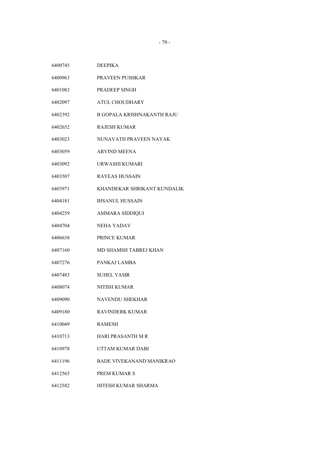| 6400745 | <b>DEEPIKA</b>                  |
|---------|---------------------------------|
| 6400963 | PRAVEEN PUSHKAR                 |
| 6401083 | <b>PRADEEP SINGH</b>            |
| 6402097 | ATUL CHOUDHARY                  |
| 6402392 | B GOPALA KRISHNAKANTH RAJU      |
| 6402652 | RAJESH KUMAR                    |
| 6403023 | NUNAVATH PRAVEEN NAYAK          |
| 6403059 | <b>ARVIND MEENA</b>             |
| 6403092 | URWASHI KUMARI                  |
| 6403507 | RAYEAS HUSSAIN                  |
| 6403971 | KHANDEKAR SHRIKANT KUNDALIK     |
| 6404181 | <b>IHSANUL HUSSAIN</b>          |
| 6404259 | AMMARA SIDDIQUI                 |
| 6404704 | <b>NEHA YADAV</b>               |
| 6406638 | PRINCE KUMAR                    |
| 6407160 | MD SHAMSH TABREJ KHAN           |
| 6407276 | PANKAJ LAMBA                    |
| 6407483 | <b>SUHEL YASIR</b>              |
| 6408074 | NITISH KUMAR                    |
| 6409090 | NAVENDU SHEKHAR                 |
| 6409180 | RAVINDERK KUMAR                 |
| 6410049 | RAMESH                          |
| 6410713 | HARI PRASANTH M R               |
| 6410978 | UTTAM KUMAR DABI                |
| 6411196 | <b>BADE VIVEKANAND MANIKRAO</b> |
| 6412565 | PREM KUMAR S                    |
| 6412582 | HITESH KUMAR SHARMA             |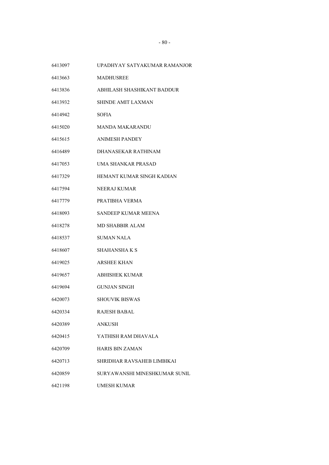- UPADHYAY SATYAKUMAR RAMANJOR
- MADHUSREE
- ABHILASH SHASHIKANT BADDUR
- SHINDE AMIT LAXMAN
- SOFIA
- MANDA MAKARANDU
- ANIMESH PANDEY
- DHANASEKAR RATHINAM
- UMA SHANKAR PRASAD
- HEMANT KUMAR SINGH KADIAN
- NEERAJ KUMAR
- PRATIBHA VERMA
- SANDEEP KUMAR MEENA
- MD SHABBIR ALAM
- SUMAN NALA
- SHAHANSHA K S
- ARSHEE KHAN
- ABHISHEK KUMAR
- GUNJAN SINGH
- SHOUVIK BISWAS
- RAJESH BABAL
- ANKUSH
- YATHISH RAM DHAVALA
- HARIS BIN ZAMAN
- SHRIDHAR RAVSAHEB LIMBIKAI
- SURYAWANSHI MINESHKUMAR SUNIL
- UMESH KUMAR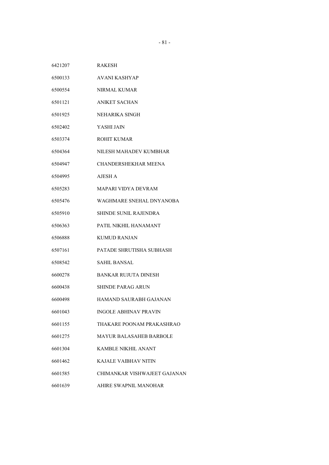| 6421207 | <b>RAKESH</b> |
|---------|---------------|
|         |               |

- AVANI KASHYAP
- NIRMAL KUMAR
- ANIKET SACHAN
- NEHARIKA SINGH
- YASHI JAIN
- ROHIT KUMAR
- NILESH MAHADEV KUMBHAR
- CHANDERSHEKHAR MEENA
- AJESH A
- MAPARI VIDYA DEVRAM
- WAGHMARE SNEHAL DNYANOBA
- SHINDE SUNIL RAJENDRA
- PATIL NIKHIL HANAMANT
- KUMUD RANJAN
- PATADE SHRUTISHA SUBHASH
- SAHIL BANSAL
- BANKAR RUJUTA DINESH
- SHINDE PARAG ARUN
- HAMAND SAURABH GAJANAN
- INGOLE ABHINAV PRAVIN
- THAKARE POONAM PRAKASHRAO
- MAYUR BALASAHEB BARBOLE
- KAMBLE NIKHIL ANANT
- KAJALE VAIBHAV NITIN
- CHIMANKAR VISHWAJEET GAJANAN
- AHIRE SWAPNIL MANOHAR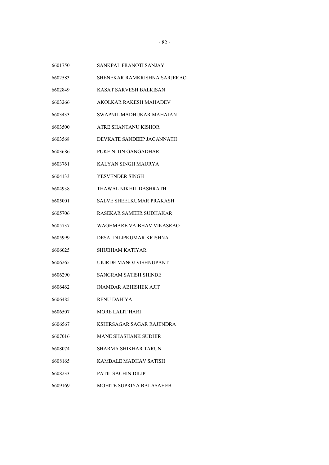- SANKPAL PRANOTI SANJAY
- SHENEKAR RAMKRISHNA SARJERAO
- KASAT SARVESH BALKISAN
- AKOLKAR RAKESH MAHADEV
- SWAPNIL MADHUKAR MAHAJAN
- ATRE SHANTANU KISHOR
- DEVKATE SANDEEP JAGANNATH
- PUKE NITIN GANGADHAR
- KALYAN SINGH MAURYA
- YESVENDER SINGH
- THAWAL NIKHIL DASHRATH
- SALVE SHEELKUMAR PRAKASH
- RASEKAR SAMEER SUDHAKAR
- WAGHMARE VAIBHAV VIKASRAO
- DESAI DILIPKUMAR KRISHNA
- SHUBHAM KATIYAR
- UKIRDE MANOJ VISHNUPANT
- SANGRAM SATISH SHINDE
- INAMDAR ABHISHEK AJIT
- RENU DAHIYA
- MORE LALIT HARI
- KSHIRSAGAR SAGAR RAJENDRA
- MANE SHASHANK SUDHIR
- SHARMA SHIKHAR TARUN
- KAMBALE MADHAV SATISH
- PATIL SACHIN DILIP
- MOHITE SUPRIYA BALASAHEB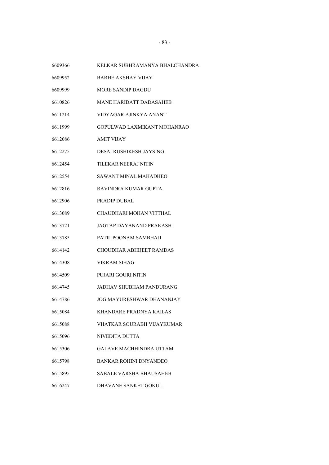| 6609366 | KELKAR SUBHRAMANYA BHALCHANDRA |
|---------|--------------------------------|
| 6609952 | <b>BARHE AKSHAY VIJAY</b>      |
| 6609999 | <b>MORE SANDIP DAGDU</b>       |
| 6610826 | <b>MANE HARIDATT DADASAHEB</b> |
| 6611214 | VIDYAGAR AJINKYA ANANT         |
| 6611999 | GOPULWAD LAXMIKANT MOHANRAO    |
| 6612086 | <b>AMIT VIJAY</b>              |
| 6612275 | DESAI RUSHIKESH JAYSING        |
| 6612454 | TILEKAR NEERAJ NITIN           |
| 6612554 | <b>SAWANT MINAL MAHADHEO</b>   |
| 6612816 | RAVINDRA KUMAR GUPTA           |
| 6612906 | <b>PRADIP DUBAL</b>            |
| 6613089 | CHAUDHARI MOHAN VITTHAL        |
| 6613721 | JAGTAP DAYANAND PRAKASH        |
| 6613785 | PATIL POONAM SAMBHAJI          |
| 6614142 | CHOUDHAR ABHIJEET RAMDAS       |
| 6614308 | <b>VIKRAM SIHAG</b>            |
| 6614509 | PUJARI GOURI NITIN             |
| 6614745 | JADHAV SHUBHAM PANDURANG       |
| 6614786 | JOG MAYURESHWAR DHANANJAY      |
| 6615084 | KHANDARE PRADNYA KAILAS        |
| 6615088 | VHATKAR SOURABH VIJAYKUMAR     |
| 6615096 | NIVEDITA DUTTA                 |
| 6615306 | <b>GALAVE MACHHINDRA UTTAM</b> |
| 6615798 | <b>BANKAR ROHINI DNYANDEO</b>  |
| 6615895 | <b>SABALE VARSHA BHAUSAHEB</b> |
| 6616247 | DHAVANE SANKET GOKUL           |
|         |                                |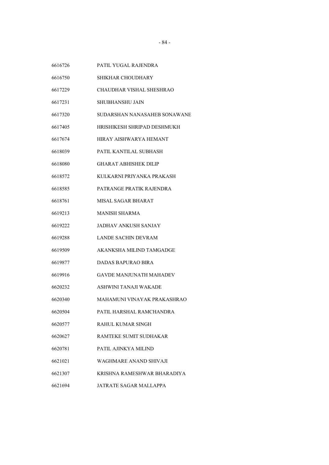- PATIL YUGAL RAJENDRA
- SHIKHAR CHOUDHARY
- CHAUDHAR VISHAL SHESHRAO
- SHUBHANSHU JAIN
- SUDARSHAN NANASAHEB SONAWANE
- HRISHIKESH SHRIPAD DESHMUKH
- HIRAY AISHWARYA HEMANT
- PATIL KANTILAL SUBHASH
- GHARAT ABHISHEK DILIP
- KULKARNI PRIYANKA PRAKASH
- PATRANGE PRATIK RAJENDRA
- MISAL SAGAR BHARAT
- MANISH SHARMA
- JADHAV ANKUSH SANJAY
- LANDE SACHIN DEVRAM
- AKANKSHA MILIND TAMGADGE
- DADAS BAPURAO BIRA
- GAVDE MANJUNATH MAHADEV
- ASHWINI TANAJI WAKADE
- MAHAMUNI VINAYAK PRAKASHRAO
- PATIL HARSHAL RAMCHANDRA
- RAHUL KUMAR SINGH
- RAMTEKE SUMIT SUDHAKAR
- PATIL AJINKYA MILIND
- WAGHMARE ANAND SHIVAJI
- KRISHNA RAMESHWAR BHARADIYA
- JATRATE SAGAR MALLAPPA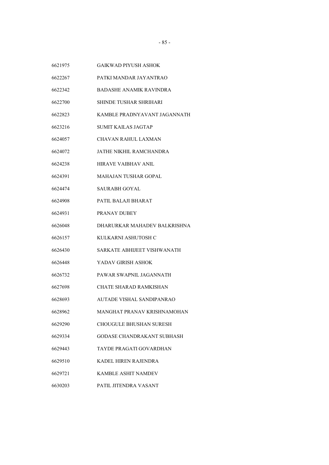- GAIKWAD PIYUSH ASHOK
- PATKI MANDAR JAYANTRAO
- BADASHE ANAMIK RAVINDRA
- SHINDE TUSHAR SHRIHARI
- KAMBLE PRADNYAVANT JAGANNATH
- SUMIT KAILAS JAGTAP
- CHAVAN RAHUL LAXMAN
- JATHE NIKHIL RAMCHANDRA
- HIRAVE VAIBHAV ANIL
- MAHAJAN TUSHAR GOPAL
- SAURABH GOYAL
- PATIL BALAJI BHARAT
- PRANAY DUBEY
- DHARURKAR MAHADEV BALKRISHNA
- KULKARNI ASHUTOSH C
- SARKATE ABHIJEET VISHWANATH
- YADAV GIRISH ASHOK
- PAWAR SWAPNIL JAGANNATH
- CHATE SHARAD RAMKISHAN
- AUTADE VISHAL SANDIPANRAO
- MANGHAT PRANAV KRISHNAMOHAN
- CHOUGULE BHUSHAN SURESH
- GODASE CHANDRAKANT SUBHASH
- TAYDE PRAGATI GOVARDHAN
- KADEL HIREN RAJENDRA
- KAMBLE ASHIT NAMDEV
- PATIL JITENDRA VASANT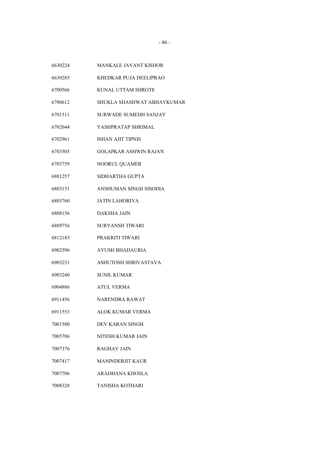- MANKALE JAYANT KISHOR
- KHEDKAR PUJA DEELIPRAO
- KUNAL UTTAM SHROTE
- SHUKLA SHASHWAT ABHAYKUMAR
- SURWADE SUMEDH SANJAY
- YASHPRATAP SHRIMAL
- ISHAN AJIT TIPNIS
- GOLAPKAR ASHWIN RAJAN
- NOORUL QUAMER
- SIDHARTHA GUPTA
- ANSHUMAN SINGH SISODIA
- JATIN LAHORIYA
- DAKSHA JAIN
- SURYANSH TIWARI
- PRAKRITI TIWARI
- AYUSH BHADAURIA
- ASHUTOSH SHRIVASTAVA
- SUNIL KUMAR
- ATUL VERMA
- NARENDRA RAWAT
- ALOK KUMAR VERMA
- DEV KARAN SINGH
- NITESH KUMAR JAIN
- RAGHAV JAIN
- MANINDERJIT KAUR
- ARADHANA KHOSLA
- TANISHA KOTHARI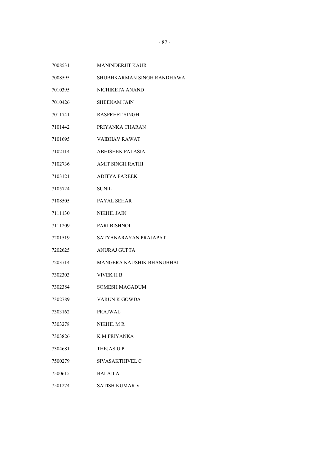- MANINDERJIT KAUR
- SHUBHKARMAN SINGH RANDHAWA
- NICHIKETA ANAND
- SHEENAM JAIN
- RASPREET SINGH
- PRIYANKA CHARAN
- VAIBHAV RAWAT
- ABHISHEK PALASIA
- AMIT SINGH RATHI
- ADITYA PAREEK
- SUNIL
- PAYAL SEHAR
- NIKHIL JAIN
- PARI BISHNOI
- SATYANARAYAN PRAJAPAT
- ANURAJ GUPTA
- MANGERA KAUSHIK BHANUBHAI
- VIVEK H B
- SOMESH MAGADUM
- VARUN K GOWDA
- PRAJWAL
- NIKHIL M R
- K M PRIYANKA
- THEJAS U P
- SIVASAKTHIVEL C
- BALAJI A
- SATISH KUMAR V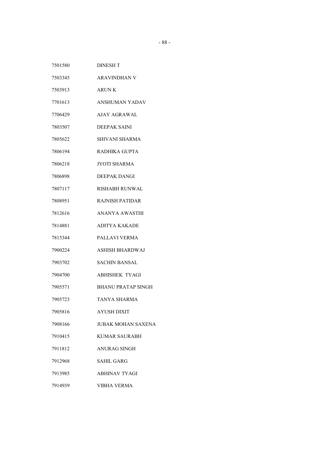| 7501580 | <b>DINESH T</b>           |
|---------|---------------------------|
| 7503345 | <b>ARAVINDHAN V</b>       |
| 7503913 | <b>ARUNK</b>              |
| 7701613 | <b>ANSHUMAN YADAV</b>     |
| 7706429 | AJAY AGRAWAL              |
| 7803507 | <b>DEEPAK SAINI</b>       |
| 7805622 | SHIVANI SHARMA            |
| 7806194 | <b>RADHIKA GUPTA</b>      |
| 7806218 | <b>JYOTI SHARMA</b>       |
| 7806898 | <b>DEEPAK DANGI</b>       |
| 7807117 | <b>RISHABH RUNWAL</b>     |
| 7808951 | <b>RAJNISH PATIDAR</b>    |
| 7812616 | ANANYA AWASTHI            |
| 7814881 | ADITYA KAKADE             |
| 7815344 | PALLAVI VERMA             |
| 7900224 | ASHISH BHARDWAJ           |
| 7903702 | SACHIN BANSAL             |
| 7904700 | <b>ABHISHEK TYAGI</b>     |
| 7905571 | <b>BHANU PRATAP SINGH</b> |
| 7905723 | TANYA SHARMA              |
| 7905816 | AYUSH DIXIT               |
| 7908166 | <b>JUBAK MOHAN SAXENA</b> |
| 7910415 | <b>KUMAR SAURABH</b>      |
| 7911812 | <b>ANURAG SINGH</b>       |
| 7912968 | SAHIL GARG                |
| 7913985 | ABHINAV TYAGI             |
| 7914939 | <b>VIBHA VERMA</b>        |
|         |                           |